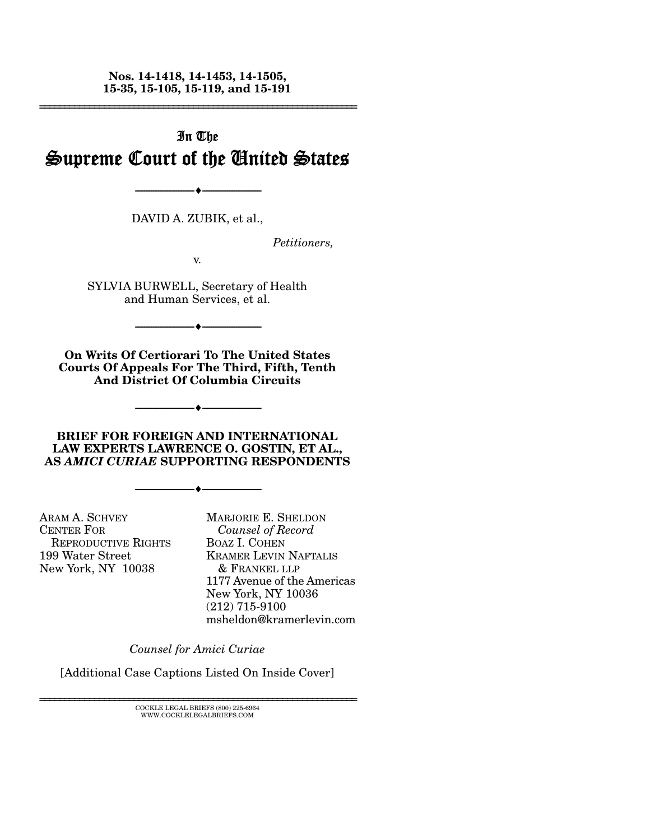**Nos. 14-1418, 14-1453, 14-1505, 15-35, 15-105, 15-119, and 15-191** 

================================================================

# In The Supreme Court of the United States

DAVID A. ZUBIK, et al.,

--------------------------------- ---------------------------------

*Petitioners,* 

v.

SYLVIA BURWELL, Secretary of Health and Human Services, et al.

 $\blacktriangle$   $-$ 

**On Writs Of Certiorari To The United States Courts Of Appeals For The Third, Fifth, Tenth And District Of Columbia Circuits** 

**BRIEF FOR FOREIGN AND INTERNATIONAL LAW EXPERTS LAWRENCE O. GOSTIN, ET AL., AS** *AMICI CURIAE* **SUPPORTING RESPONDENTS** 

--------------------------------- ---------------------------------

--------------------------------- ---------------------------------

ARAM A. SCHVEY CENTER FOR REPRODUCTIVE RIGHTS 199 Water Street New York, NY 10038

MARJORIE E. SHELDON *Counsel of Record* BOAZ I. COHEN KRAMER LEVIN NAFTALIS & FRANKEL LLP 1177 Avenue of the Americas New York, NY 10036 (212) 715-9100 msheldon@kramerlevin.com

*Counsel for Amici Curiae*

[Additional Case Captions Listed On Inside Cover]

================================================================ COCKLE LEGAL BRIEFS (800) 225-6964 WWW.COCKLELEGALBRIEFS.COM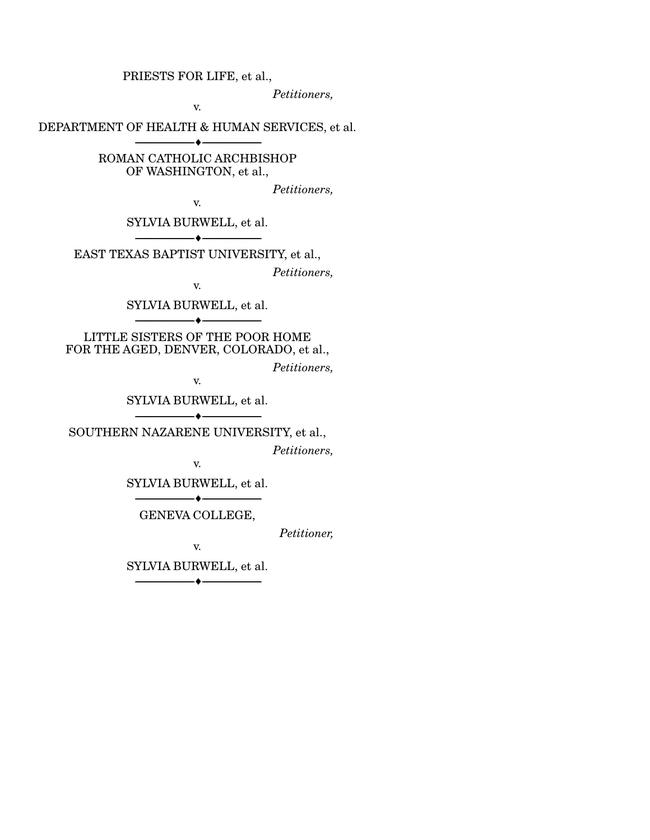PRIESTS FOR LIFE, et al.,

*Petitioners,* 

v.

DEPARTMENT OF HEALTH & HUMAN SERVICES, et al. --------------------------------- ---------------------------------

> ROMAN CATHOLIC ARCHBISHOP OF WASHINGTON, et al.,

> > *Petitioners,*

v.

SYLVIA BURWELL, et al. --------------------------------- ---------------------------------

EAST TEXAS BAPTIST UNIVERSITY, et al.,

*Petitioners,* 

v.

SYLVIA BURWELL, et al. --------------------------------- ---------------------------------

LITTLE SISTERS OF THE POOR HOME FOR THE AGED, DENVER, COLORADO, et al.,

*Petitioners,* 

v.

SYLVIA BURWELL, et al. --------------------------------- ---------------------------------

SOUTHERN NAZARENE UNIVERSITY, et al.,

*Petitioners,* 

v.

SYLVIA BURWELL, et al. --------------------------------- ---------------------------------

GENEVA COLLEGE,

*Petitioner,* 

v.

SYLVIA BURWELL, et al.

--------------------------------- ---------------------------------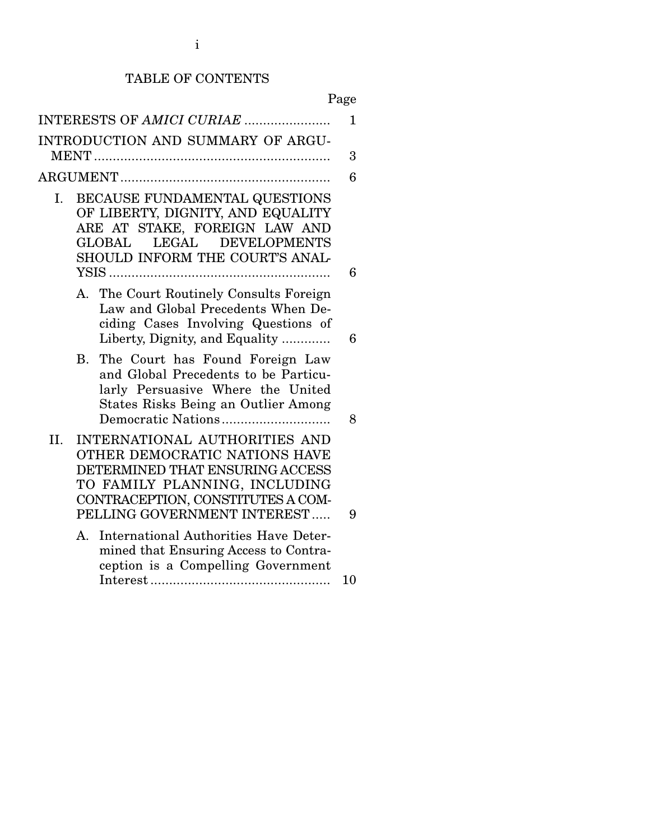# TABLE OF CONTENTS

|     | INTERESTS OF AMICI CURIAE                                                                                                                                                              | $\mathbf{1}$ |
|-----|----------------------------------------------------------------------------------------------------------------------------------------------------------------------------------------|--------------|
|     | INTRODUCTION AND SUMMARY OF ARGU-                                                                                                                                                      |              |
|     |                                                                                                                                                                                        | 3            |
|     |                                                                                                                                                                                        | 6            |
| Ι.  | BECAUSE FUNDAMENTAL QUESTIONS<br>OF LIBERTY, DIGNITY, AND EQUALITY<br>ARE AT STAKE, FOREIGN LAW AND<br>LEGAL<br><b>DEVELOPMENTS</b><br>$\rm GLOBAL$<br>SHOULD INFORM THE COURT'S ANAL- | 6            |
|     | A. The Court Routinely Consults Foreign<br>Law and Global Precedents When De-<br>ciding Cases Involving Questions of<br>Liberty, Dignity, and Equality                                 | 6            |
|     | <b>B.</b><br>The Court has Found Foreign Law<br>and Global Precedents to be Particu-<br>larly Persuasive Where the United<br><b>States Risks Being an Outlier Among</b>                | 8            |
| II. | INTERNATIONAL AUTHORITIES AND<br>OTHER DEMOCRATIC NATIONS HAVE<br>DETERMINED THAT ENSURING ACCESS<br>TO FAMILY PLANNING, INCLUDING<br>CONTRACEPTION, CONSTITUTES A COM-                |              |
|     | PELLING GOVERNMENT INTEREST<br>International Authorities Have Deter-<br>А.<br>mined that Ensuring Access to Contra-<br>ception is a Compelling Government                              | 9            |
|     |                                                                                                                                                                                        | 10           |
|     |                                                                                                                                                                                        |              |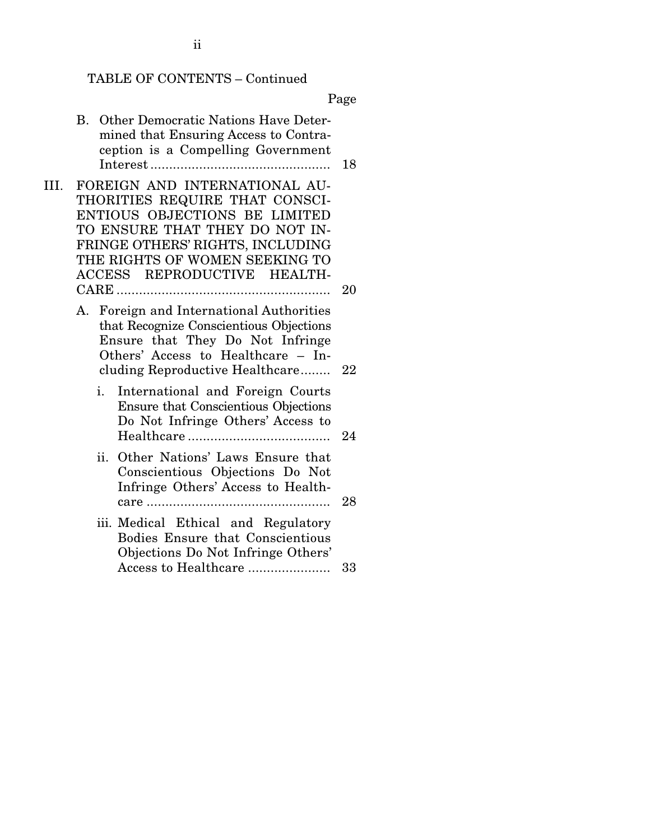# TABLE OF CONTENTS – Continued

Page

|      | B. Other Democratic Nations Have Deter-<br>mined that Ensuring Access to Contra-<br>ception is a Compelling Government                                                                                                                  | 18 |
|------|-----------------------------------------------------------------------------------------------------------------------------------------------------------------------------------------------------------------------------------------|----|
| III. | FOREIGN AND INTERNATIONAL AU-<br>THORITIES REQUIRE THAT CONSCI-<br>ENTIOUS OBJECTIONS BE LIMITED<br>TO ENSURE THAT THEY DO NOT IN-<br>FRINGE OTHERS' RIGHTS, INCLUDING<br>THE RIGHTS OF WOMEN SEEKING TO<br>ACCESS REPRODUCTIVE HEALTH- | 20 |
|      | A. Foreign and International Authorities<br>that Recognize Conscientious Objections<br>Ensure that They Do Not Infringe<br>Others' Access to Healthcare - In-<br>cluding Reproductive Healthcare                                        | 22 |
|      | i.<br>International and Foreign Courts<br><b>Ensure that Conscientious Objections</b><br>Do Not Infringe Others' Access to                                                                                                              | 24 |
|      | ii. Other Nations' Laws Ensure that<br>Conscientious Objections Do Not<br>Infringe Others' Access to Health-                                                                                                                            | 28 |
|      | iii. Medical Ethical and Regulatory<br>Bodies Ensure that Conscientious<br>Objections Do Not Infringe Others'<br>Access to Healthcare                                                                                                   | 33 |

ii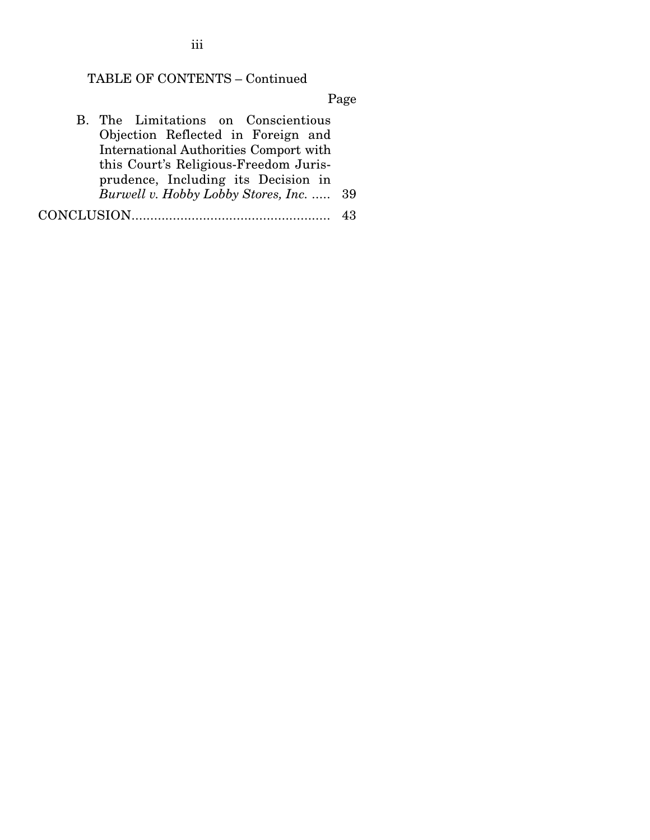## TABLE OF CONTENTS – Continued

Page

B. The Limitations on Conscientious Objection Reflected in Foreign and International Authorities Comport with this Court's Religious-Freedom Jurisprudence, Including its Decision in *Burwell v. Hobby Lobby Stores, Inc.* ..... 39 CONCLUSION ..................................................... 43

iii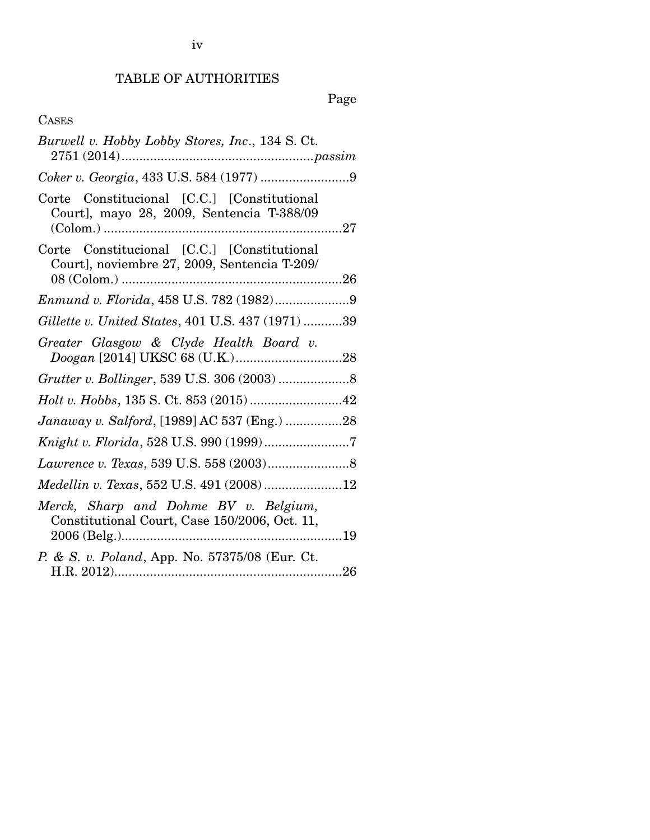iv

# TABLE OF AUTHORITIES

# Page

# CASES

| Burwell v. Hobby Lobby Stores, Inc., 134 S. Ct.                                             |
|---------------------------------------------------------------------------------------------|
|                                                                                             |
| Corte Constitucional [C.C.] [Constitutional<br>Court], mayo 28, 2009, Sentencia T-388/09    |
| Corte Constitucional [C.C.] [Constitutional<br>Court], noviembre 27, 2009, Sentencia T-209/ |
| Enmund v. Florida, 458 U.S. 782 (1982)9                                                     |
| Gillette v. United States, 401 U.S. 437 (1971) 39                                           |
| Greater Glasgow & Clyde Health Board v.                                                     |
|                                                                                             |
|                                                                                             |
| Janaway v. Salford, [1989] AC 537 (Eng.) 28                                                 |
|                                                                                             |
|                                                                                             |
| Medellin v. Texas, 552 U.S. 491 (2008) 12                                                   |
| Merck, Sharp and Dohme BV v. Belgium,<br>Constitutional Court, Case 150/2006, Oct. 11,      |
| P. & S. v. Poland, App. No. 57375/08 (Eur. Ct.                                              |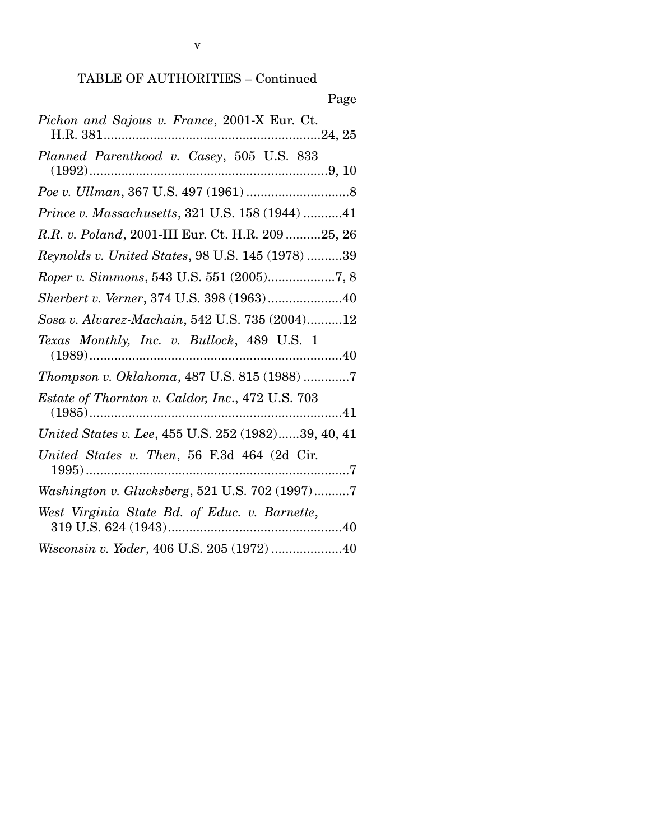|--|

| Pichon and Sajous v. France, 2001-X Eur. Ct.        |
|-----------------------------------------------------|
| Planned Parenthood v. Casey, 505 U.S. 833           |
|                                                     |
| Prince v. Massachusetts, 321 U.S. 158 (1944) 41     |
| R.R. v. Poland, 2001-III Eur. Ct. H.R. 209 25, 26   |
| Reynolds v. United States, 98 U.S. 145 (1978) 39    |
|                                                     |
| Sherbert v. Verner, 374 U.S. 398 (1963)40           |
| Sosa v. Alvarez-Machain, 542 U.S. 735 (2004)12      |
| Texas Monthly, Inc. v. Bullock, 489 U.S. 1          |
| Thompson v. Oklahoma, 487 U.S. 815 (1988) 7         |
| Estate of Thornton v. Caldor, Inc., 472 U.S. 703    |
| United States v. Lee, 455 U.S. 252 (1982)39, 40, 41 |
| United States v. Then, 56 F.3d 464 (2d Cir.         |
| Washington v. Glucksberg, 521 U.S. 702 (1997)7      |
| West Virginia State Bd. of Educ. v. Barnette,       |
| Wisconsin v. Yoder, 406 U.S. 205 (1972) 40          |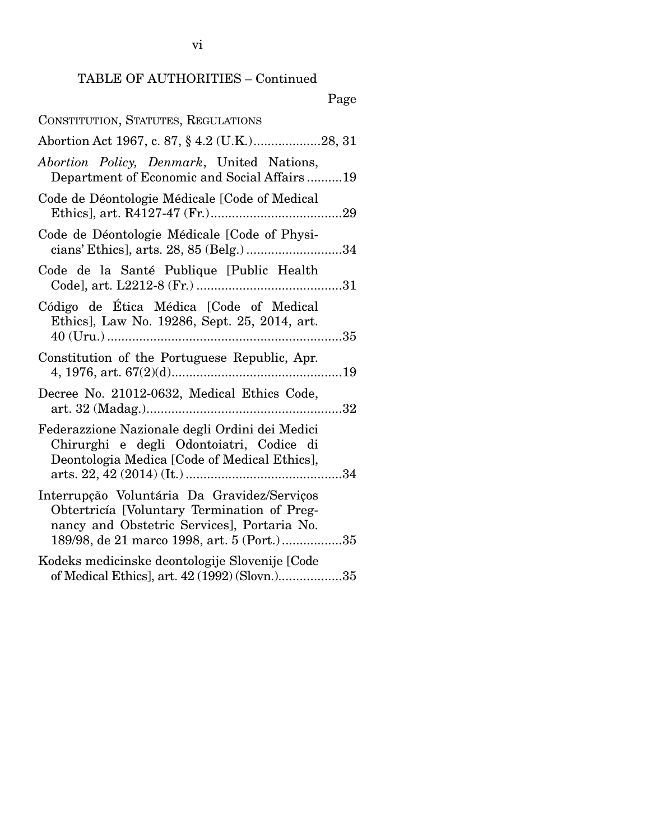| CONSTITUTION, STATUTES, REGULATIONS                                                                                                                                                     |
|-----------------------------------------------------------------------------------------------------------------------------------------------------------------------------------------|
| Abortion Act 1967, c. 87, § 4.2 (U.K.)28, 31                                                                                                                                            |
| Abortion Policy, Denmark, United Nations,<br>Department of Economic and Social Affairs19                                                                                                |
| Code de Déontologie Médicale [Code of Medical                                                                                                                                           |
| Code de Déontologie Médicale [Code of Physi-<br>cians' Ethics], arts. 28, 85 (Belg.) 34                                                                                                 |
| Code de la Santé Publique [Public Health                                                                                                                                                |
| Código de Ética Médica [Code of Medical<br>Ethics], Law No. 19286, Sept. 25, 2014, art.                                                                                                 |
| Constitution of the Portuguese Republic, Apr.                                                                                                                                           |
| Decree No. 21012-0632, Medical Ethics Code,                                                                                                                                             |
| Federazzione Nazionale degli Ordini dei Medici<br>Chirurghi e degli Odontoiatri, Codice di<br>Deontologia Medica [Code of Medical Ethics],                                              |
| Interrupção Voluntária Da Gravidez/Serviços<br>Obtertricía [Voluntary Termination of Preg-<br>nancy and Obstetric Services], Portaria No.<br>189/98, de 21 marco 1998, art. 5 (Port.)35 |
| Kodeks medicinske deontologije Slovenije [Code<br>of Medical Ethics], art. 42 (1992) (Slovn.)35                                                                                         |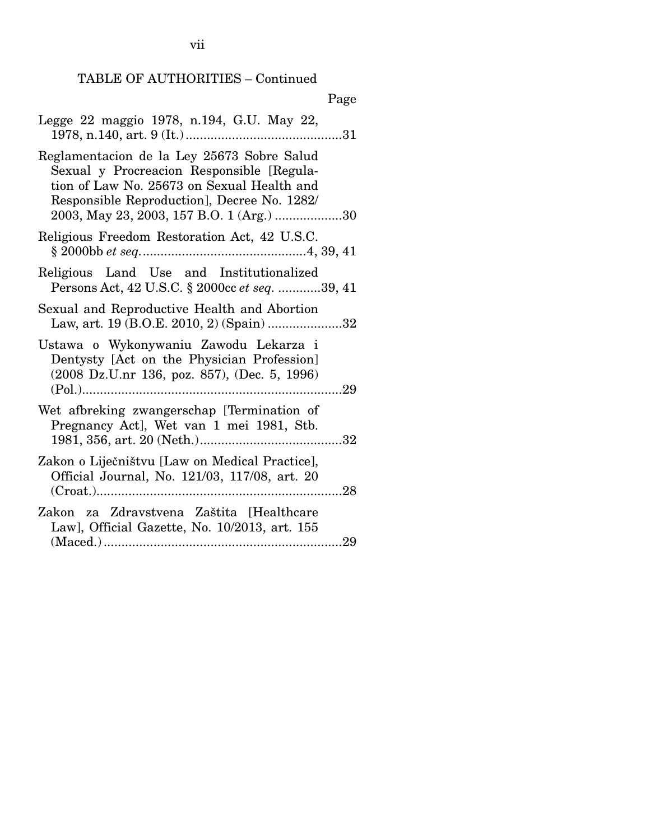|--|

| Legge 22 maggio 1978, n.194, G.U. May 22,<br>31                                                                                                                                                                                  |
|----------------------------------------------------------------------------------------------------------------------------------------------------------------------------------------------------------------------------------|
| Reglamentacion de la Ley 25673 Sobre Salud<br>Sexual y Procreacion Responsible [Regula-<br>tion of Law No. 25673 on Sexual Health and<br>Responsible Reproduction], Decree No. 1282/<br>2003, May 23, 2003, 157 B.O. 1 (Arg.) 30 |
| Religious Freedom Restoration Act, 42 U.S.C.                                                                                                                                                                                     |
| Religious Land Use and Institutionalized<br>Persons Act, 42 U.S.C. § 2000cc et seq. 39, 41                                                                                                                                       |
| Sexual and Reproductive Health and Abortion<br>Law, art. 19 (B.O.E. 2010, 2) (Spain) 32                                                                                                                                          |
| Ustawa o Wykonywaniu Zawodu Lekarza i<br>Dentysty [Act on the Physician Profession]<br>$(2008 \text{ Dz.U.nr } 136, \text{ poz. } 857), (\text{Dec. } 5, 1996)$<br>29                                                            |
| Wet afbreking zwangerschap [Termination of<br>Pregnancy Act], Wet van 1 mei 1981, Stb.                                                                                                                                           |
| Zakon o Liječništvu [Law on Medical Practice],<br>Official Journal, No. 121/03, 117/08, art. 20                                                                                                                                  |
| Zakon za Zdravstvena Zaštita [Healthcare<br>Law], Official Gazette, No. 10/2013, art. 155<br>-29                                                                                                                                 |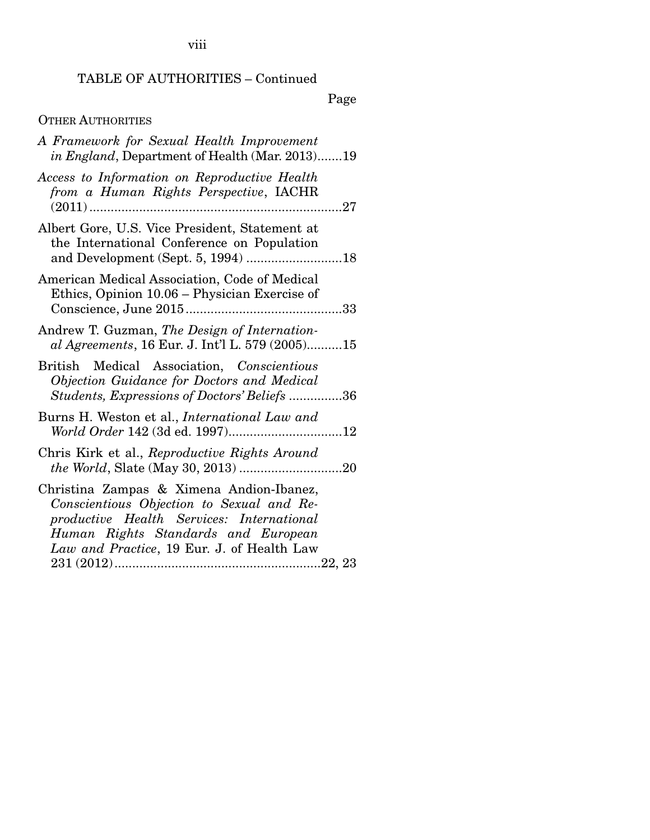Page

## OTHER AUTHORITIES

| A Framework for Sexual Health Improvement<br>in England, Department of Health (Mar. 2013)19                                                                                                                             |
|-------------------------------------------------------------------------------------------------------------------------------------------------------------------------------------------------------------------------|
| Access to Information on Reproductive Health<br>from a Human Rights Perspective, IACHR<br>$(2011)$                                                                                                                      |
| Albert Gore, U.S. Vice President, Statement at<br>the International Conference on Population                                                                                                                            |
| American Medical Association, Code of Medical<br>Ethics, Opinion 10.06 – Physician Exercise of                                                                                                                          |
| Andrew T. Guzman, The Design of Internation-<br>al Agreements, 16 Eur. J. Int'l L. 579 (2005)15                                                                                                                         |
| British Medical Association, Conscientious<br>Objection Guidance for Doctors and Medical<br>Students, Expressions of Doctors' Beliefs 36                                                                                |
| Burns H. Weston et al., <i>International Law and</i><br>World Order 142 (3d ed. 1997)12                                                                                                                                 |
| Chris Kirk et al., Reproductive Rights Around                                                                                                                                                                           |
| Christina Zampas & Ximena Andion-Ibanez,<br>Conscientious Objection to Sexual and Re-<br>productive Health Services: International<br>Human Rights Standards and European<br>Law and Practice, 19 Eur. J. of Health Law |
|                                                                                                                                                                                                                         |

viii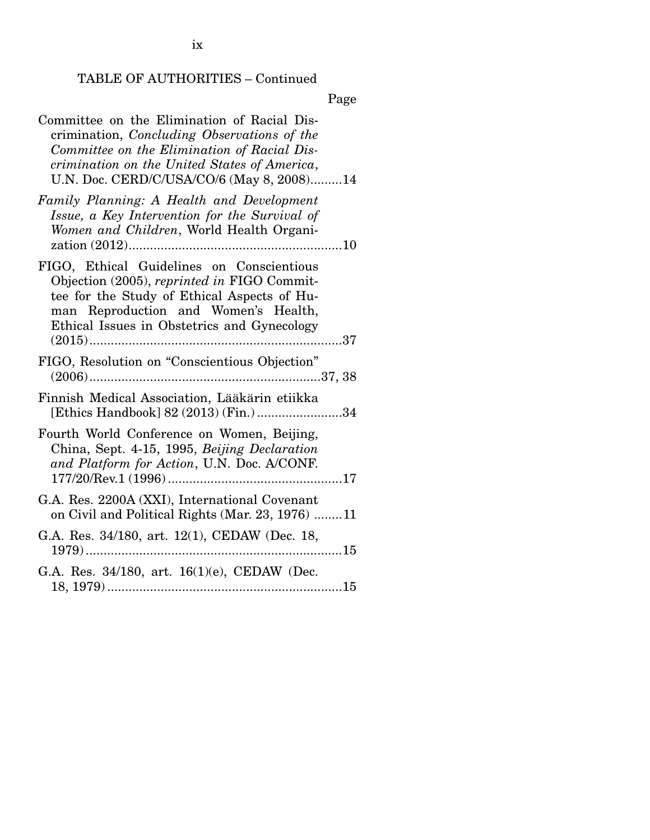ix

# TABLE OF AUTHORITIES – Continued

| Committee on the Elimination of Racial Dis-<br>crimination, Concluding Observations of the<br>Committee on the Elimination of Racial Dis-<br>crimination on the United States of America,<br>U.N. Doc. CERD/C/USA/CO/6 (May 8, 2008)14 |
|----------------------------------------------------------------------------------------------------------------------------------------------------------------------------------------------------------------------------------------|
| Family Planning: A Health and Development<br>Issue, a Key Intervention for the Survival of<br>Women and Children, World Health Organi-                                                                                                 |
| FIGO, Ethical Guidelines on Conscientious<br>Objection (2005), reprinted in FIGO Commit-<br>tee for the Study of Ethical Aspects of Hu-<br>man Reproduction and Women's Health,<br>Ethical Issues in Obstetrics and Gynecology         |
| FIGO, Resolution on "Conscientious Objection"                                                                                                                                                                                          |
| Finnish Medical Association, Lääkärin etiikka<br>[Ethics Handbook] 82 (2013) (Fin.) 34                                                                                                                                                 |
| Fourth World Conference on Women, Beijing,<br>China, Sept. 4-15, 1995, Beijing Declaration<br>and Platform for Action, U.N. Doc. A/CONF.                                                                                               |
| G.A. Res. 2200A (XXI), International Covenant<br>on Civil and Political Rights (Mar. 23, 1976) 11                                                                                                                                      |
| G.A. Res. 34/180, art. 12(1), CEDAW (Dec. 18,                                                                                                                                                                                          |
| G.A. Res. 34/180, art. 16(1)(e), CEDAW (Dec.                                                                                                                                                                                           |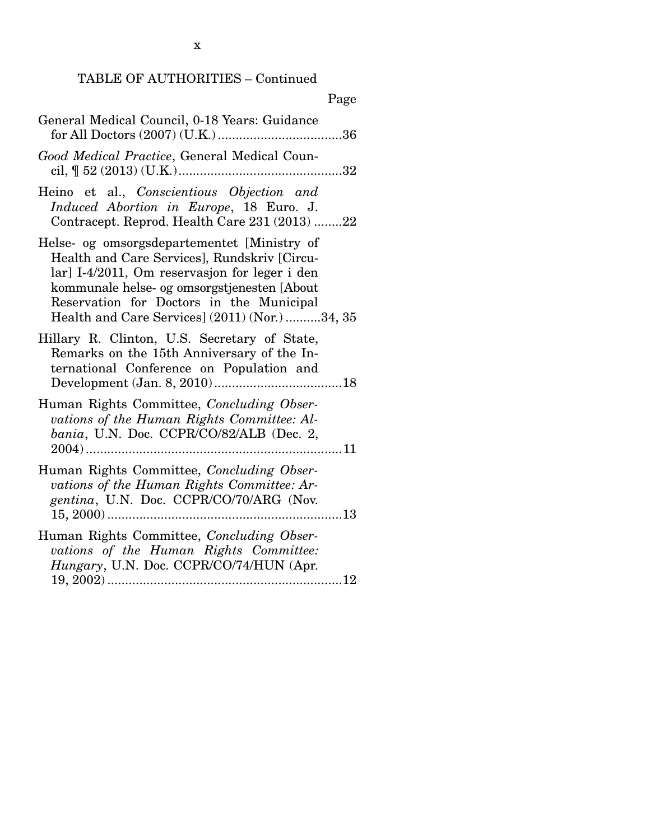x

| Page                                                                                                                                                                                                                                                                                      |
|-------------------------------------------------------------------------------------------------------------------------------------------------------------------------------------------------------------------------------------------------------------------------------------------|
| General Medical Council, 0-18 Years: Guidance                                                                                                                                                                                                                                             |
| Good Medical Practice, General Medical Coun-                                                                                                                                                                                                                                              |
| Heino et al., Conscientious Objection and<br>Induced Abortion in Europe, 18 Euro. J.<br>Contracept. Reprod. Health Care 231 (2013) 22                                                                                                                                                     |
| Helse- og omsorgsdepartementet [Ministry of<br>Health and Care Services], Rundskriv [Circu-<br>lar] I-4/2011, Om reservasjon for leger i den<br>kommunale helse- og omsorgstjenesten [About<br>Reservation for Doctors in the Municipal<br>Health and Care Services] (2011) (Nor.) 34, 35 |
| Hillary R. Clinton, U.S. Secretary of State,<br>Remarks on the 15th Anniversary of the In-<br>ternational Conference on Population and                                                                                                                                                    |
| Human Rights Committee, Concluding Obser-<br>vations of the Human Rights Committee: Al-<br>bania, U.N. Doc. CCPR/CO/82/ALB (Dec. 2,                                                                                                                                                       |
| Human Rights Committee, Concluding Obser-<br>vations of the Human Rights Committee: Ar-<br>gentina, U.N. Doc. CCPR/CO/70/ARG (Nov.                                                                                                                                                        |
| Human Rights Committee, Concluding Obser-<br>vations of the Human Rights Committee:<br>Hungary, U.N. Doc. CCPR/CO/74/HUN (Apr.                                                                                                                                                            |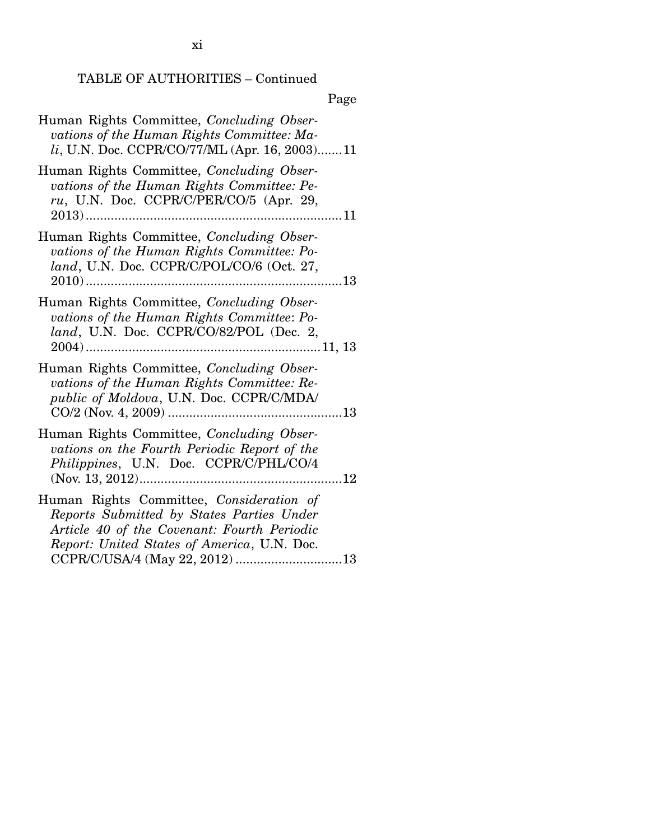xi

# TABLE OF AUTHORITIES – Continued

| Human Rights Committee, Concluding Obser-<br>vations of the Human Rights Committee: Ma-<br>li, U.N. Doc. CCPR/CO/77/ML (Apr. 16, 2003)11                                                                              |
|-----------------------------------------------------------------------------------------------------------------------------------------------------------------------------------------------------------------------|
| Human Rights Committee, Concluding Obser-<br>vations of the Human Rights Committee: Pe-<br>ru, U.N. Doc. CCPR/C/PER/CO/5 (Apr. 29,                                                                                    |
| Human Rights Committee, Concluding Obser-<br>vations of the Human Rights Committee: Po-<br>land, U.N. Doc. CCPR/C/POL/CO/6 (Oct. 27,                                                                                  |
| Human Rights Committee, Concluding Obser-<br>vations of the Human Rights Committee: Po-<br>land, U.N. Doc. CCPR/CO/82/POL (Dec. 2,                                                                                    |
| Human Rights Committee, Concluding Obser-<br>vations of the Human Rights Committee: Re-<br>public of Moldova, U.N. Doc. CCPR/C/MDA/                                                                                   |
| Human Rights Committee, Concluding Obser-<br>vations on the Fourth Periodic Report of the<br>Philippines, U.N. Doc. CCPR/C/PHL/CO/4                                                                                   |
| Human Rights Committee, Consideration of<br>Reports Submitted by States Parties Under<br>Article 40 of the Covenant: Fourth Periodic<br>Report: United States of America, U.N. Doc.<br>CCPR/C/USA/4 (May 22, 2012) 13 |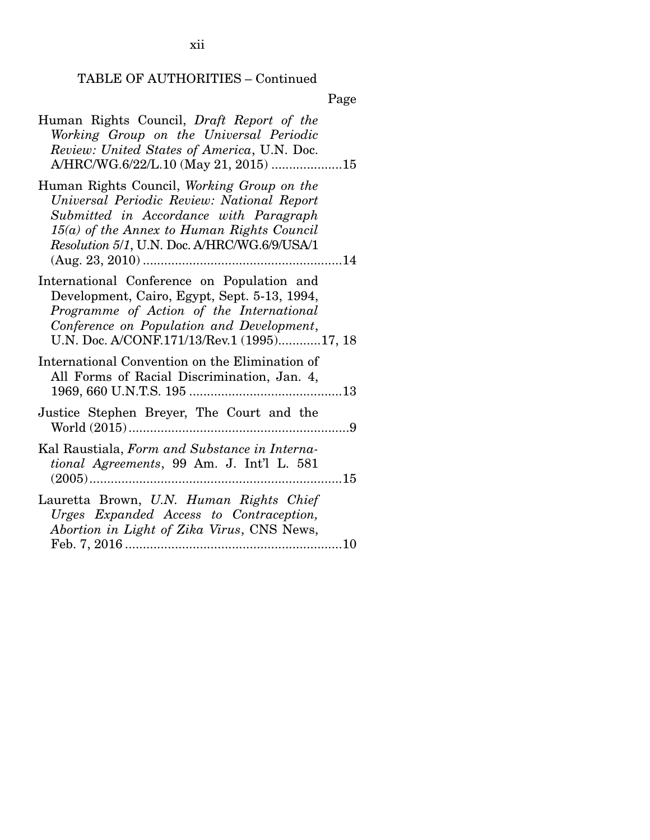| Human Rights Council, Draft Report of the<br>Working Group on the Universal Periodic<br>Review: United States of America, U.N. Doc.<br>A/HRC/WG.6/22/L.10 (May 21, 2015) 15                                                        |
|------------------------------------------------------------------------------------------------------------------------------------------------------------------------------------------------------------------------------------|
| Human Rights Council, Working Group on the<br>Universal Periodic Review: National Report<br>Submitted in Accordance with Paragraph<br>$15(a)$ of the Annex to Human Rights Council<br>Resolution 5/1, U.N. Doc. A/HRC/WG.6/9/USA/1 |
| International Conference on Population and<br>Development, Cairo, Egypt, Sept. 5-13, 1994,<br>Programme of Action of the International<br>Conference on Population and Development,<br>U.N. Doc. A/CONF.171/13/Rev.1 (1995)17, 18  |
| International Convention on the Elimination of<br>All Forms of Racial Discrimination, Jan. 4,                                                                                                                                      |
| Justice Stephen Breyer, The Court and the                                                                                                                                                                                          |
| Kal Raustiala, Form and Substance in Interna-<br>tional Agreements, 99 Am. J. Int'l L. 581                                                                                                                                         |
| Lauretta Brown, U.N. Human Rights Chief<br>Urges Expanded Access to Contraception,<br>Abortion in Light of Zika Virus, CNS News,                                                                                                   |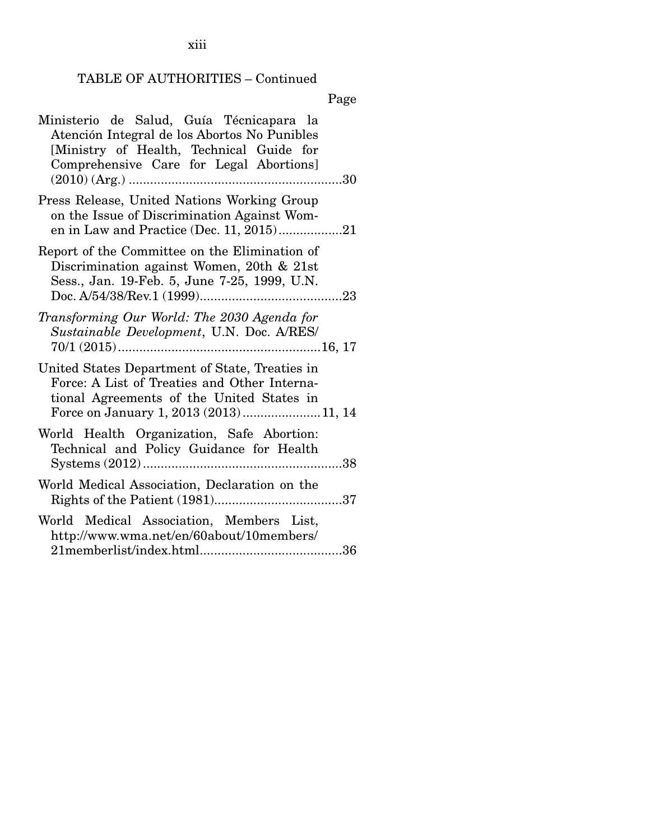| Ministerio de Salud, Guía Técnicapara la<br>Atención Integral de los Abortos No Punibles<br>[Ministry of Health, Technical Guide for<br>Comprehensive Care for Legal Abortions]      |
|--------------------------------------------------------------------------------------------------------------------------------------------------------------------------------------|
|                                                                                                                                                                                      |
| Press Release, United Nations Working Group<br>on the Issue of Discrimination Against Wom-                                                                                           |
| Report of the Committee on the Elimination of<br>Discrimination against Women, 20th & 21st<br>Sess., Jan. 19-Feb. 5, June 7-25, 1999, U.N.                                           |
| Transforming Our World: The 2030 Agenda for<br>Sustainable Development, U.N. Doc. A/RES/                                                                                             |
| United States Department of State, Treaties in<br>Force: A List of Treaties and Other Interna-<br>tional Agreements of the United States in<br>Force on January 1, 2013 (2013)11, 14 |
| World Health Organization, Safe Abortion:<br>Technical and Policy Guidance for Health                                                                                                |
| World Medical Association, Declaration on the                                                                                                                                        |
| World Medical Association, Members List,<br>http://www.wma.net/en/60about/10members/                                                                                                 |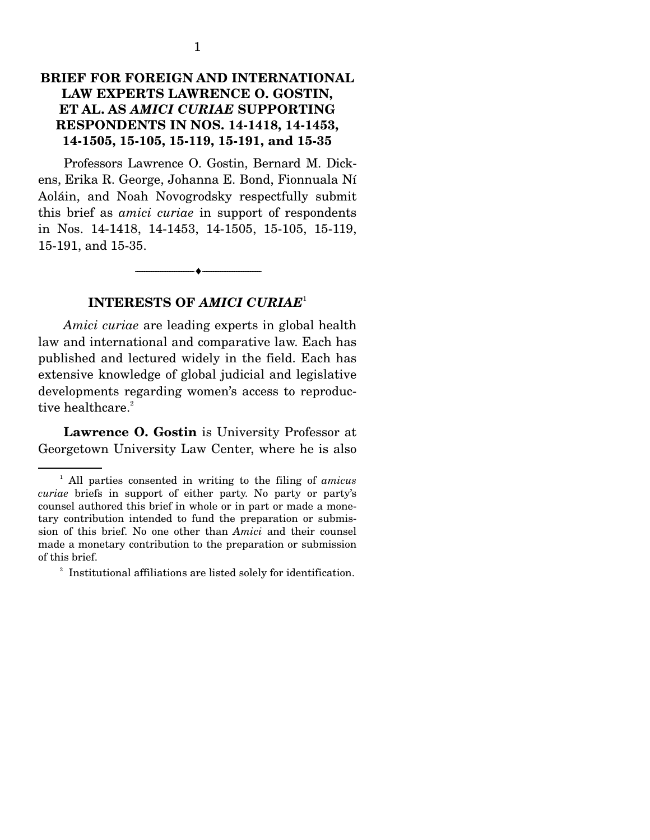Professors Lawrence O. Gostin, Bernard M. Dickens, Erika R. George, Johanna E. Bond, Fionnuala Ní Aoláin, and Noah Novogrodsky respectfully submit this brief as *amici curiae* in support of respondents in Nos. 14-1418, 14-1453, 14-1505, 15-105, 15-119, 15-191, and 15-35.

--------------------------------- ---------------------------------

### **INTERESTS OF** *AMICI CURIAE*<sup>1</sup>

*Amici curiae* are leading experts in global health law and international and comparative law. Each has published and lectured widely in the field. Each has extensive knowledge of global judicial and legislative developments regarding women's access to reproductive healthcare.<sup>2</sup>

**Lawrence O. Gostin** is University Professor at Georgetown University Law Center, where he is also

<sup>1</sup> All parties consented in writing to the filing of *amicus curiae* briefs in support of either party. No party or party's counsel authored this brief in whole or in part or made a monetary contribution intended to fund the preparation or submission of this brief. No one other than *Amici* and their counsel made a monetary contribution to the preparation or submission of this brief.

<sup>&</sup>lt;sup>2</sup> Institutional affiliations are listed solely for identification.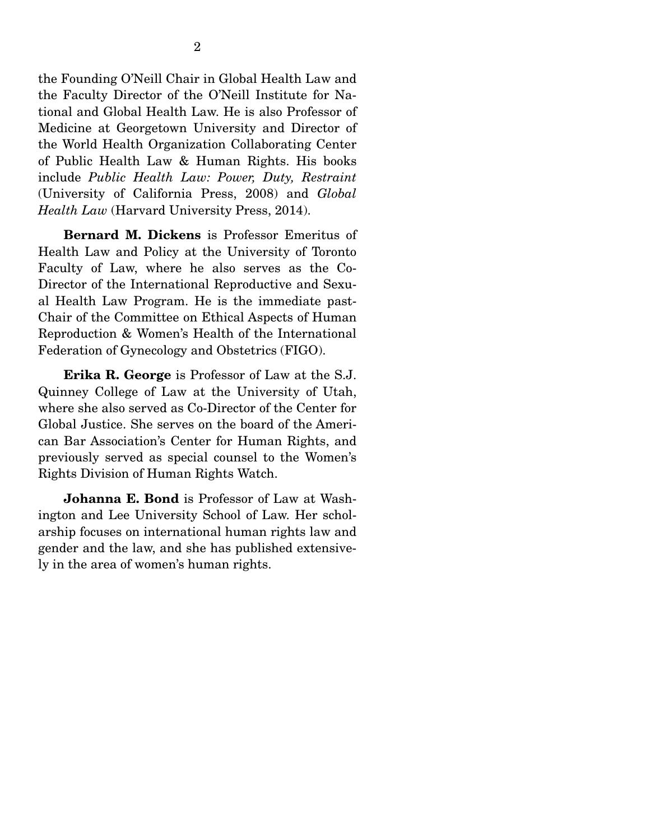the Founding O'Neill Chair in Global Health Law and the Faculty Director of the O'Neill Institute for National and Global Health Law. He is also Professor of Medicine at Georgetown University and Director of the World Health Organization Collaborating Center of Public Health Law & Human Rights. His books include *Public Health Law: Power, Duty, Restraint* (University of California Press, 2008) and *Global Health Law* (Harvard University Press, 2014).

**Bernard M. Dickens** is Professor Emeritus of Health Law and Policy at the University of Toronto Faculty of Law, where he also serves as the Co-Director of the International Reproductive and Sexual Health Law Program. He is the immediate past-Chair of the Committee on Ethical Aspects of Human Reproduction & Women's Health of the International Federation of Gynecology and Obstetrics (FIGO).

**Erika R. George** is Professor of Law at the S.J. Quinney College of Law at the University of Utah, where she also served as Co-Director of the Center for Global Justice. She serves on the board of the American Bar Association's Center for Human Rights, and previously served as special counsel to the Women's Rights Division of Human Rights Watch.

**Johanna E. Bond** is Professor of Law at Washington and Lee University School of Law. Her scholarship focuses on international human rights law and gender and the law, and she has published extensively in the area of women's human rights.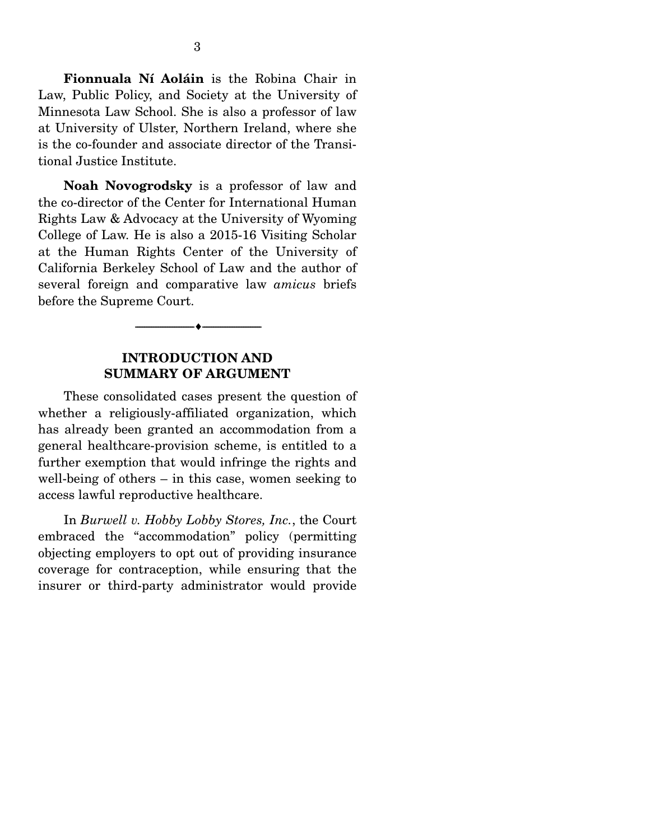**Fionnuala Ní Aoláin** is the Robina Chair in Law, Public Policy, and Society at the University of Minnesota Law School. She is also a professor of law at University of Ulster, Northern Ireland, where she is the co-founder and associate director of the Transitional Justice Institute.

**Noah Novogrodsky** is a professor of law and the co-director of the Center for International Human Rights Law & Advocacy at the University of Wyoming College of Law. He is also a 2015-16 Visiting Scholar at the Human Rights Center of the University of California Berkeley School of Law and the author of several foreign and comparative law *amicus* briefs before the Supreme Court.

#### **INTRODUCTION AND SUMMARY OF ARGUMENT**

--------------------------------- ---------------------------------

 These consolidated cases present the question of whether a religiously-affiliated organization, which has already been granted an accommodation from a general healthcare-provision scheme, is entitled to a further exemption that would infringe the rights and well-being of others – in this case, women seeking to access lawful reproductive healthcare.

 In *Burwell v. Hobby Lobby Stores, Inc.*, the Court embraced the "accommodation" policy (permitting objecting employers to opt out of providing insurance coverage for contraception, while ensuring that the insurer or third-party administrator would provide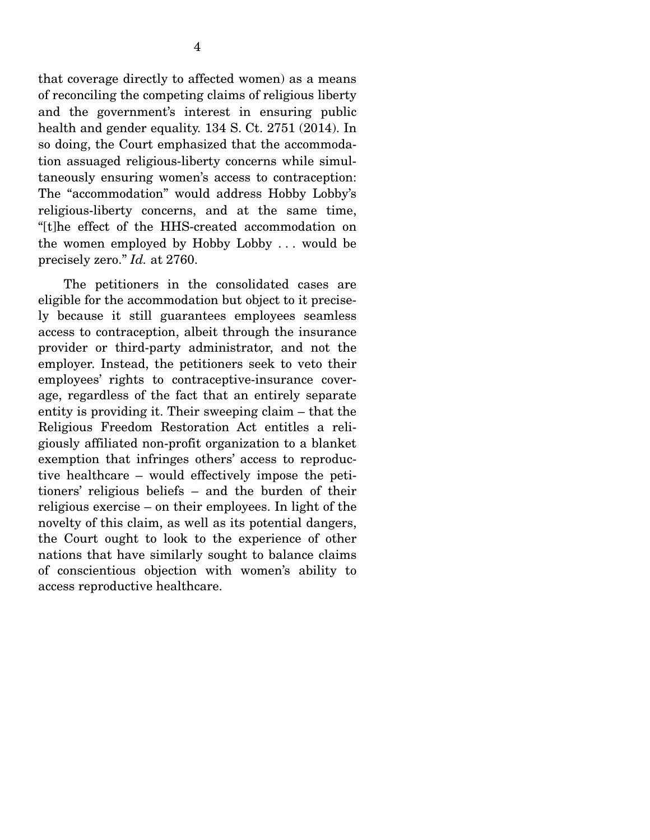that coverage directly to affected women) as a means of reconciling the competing claims of religious liberty and the government's interest in ensuring public health and gender equality. 134 S. Ct. 2751 (2014). In so doing, the Court emphasized that the accommodation assuaged religious-liberty concerns while simultaneously ensuring women's access to contraception: The "accommodation" would address Hobby Lobby's religious-liberty concerns, and at the same time, "[t]he effect of the HHS-created accommodation on the women employed by Hobby Lobby . . . would be precisely zero." *Id.* at 2760.

 The petitioners in the consolidated cases are eligible for the accommodation but object to it precisely because it still guarantees employees seamless access to contraception, albeit through the insurance provider or third-party administrator, and not the employer. Instead, the petitioners seek to veto their employees' rights to contraceptive-insurance coverage, regardless of the fact that an entirely separate entity is providing it. Their sweeping claim – that the Religious Freedom Restoration Act entitles a religiously affiliated non-profit organization to a blanket exemption that infringes others' access to reproductive healthcare – would effectively impose the petitioners' religious beliefs – and the burden of their religious exercise – on their employees. In light of the novelty of this claim, as well as its potential dangers, the Court ought to look to the experience of other nations that have similarly sought to balance claims of conscientious objection with women's ability to access reproductive healthcare.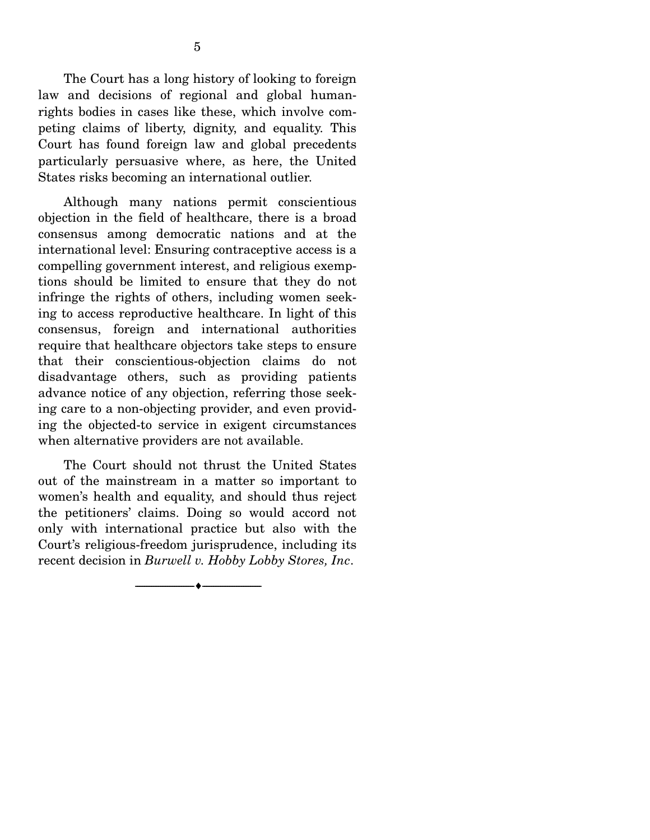The Court has a long history of looking to foreign law and decisions of regional and global humanrights bodies in cases like these, which involve competing claims of liberty, dignity, and equality. This Court has found foreign law and global precedents particularly persuasive where, as here, the United States risks becoming an international outlier.

 Although many nations permit conscientious objection in the field of healthcare, there is a broad consensus among democratic nations and at the international level: Ensuring contraceptive access is a compelling government interest, and religious exemptions should be limited to ensure that they do not infringe the rights of others, including women seeking to access reproductive healthcare. In light of this consensus, foreign and international authorities require that healthcare objectors take steps to ensure that their conscientious-objection claims do not disadvantage others, such as providing patients advance notice of any objection, referring those seeking care to a non-objecting provider, and even providing the objected-to service in exigent circumstances when alternative providers are not available.

 The Court should not thrust the United States out of the mainstream in a matter so important to women's health and equality, and should thus reject the petitioners' claims. Doing so would accord not only with international practice but also with the Court's religious-freedom jurisprudence, including its recent decision in *Burwell v. Hobby Lobby Stores, Inc*.

--------------------------------- ---------------------------------

5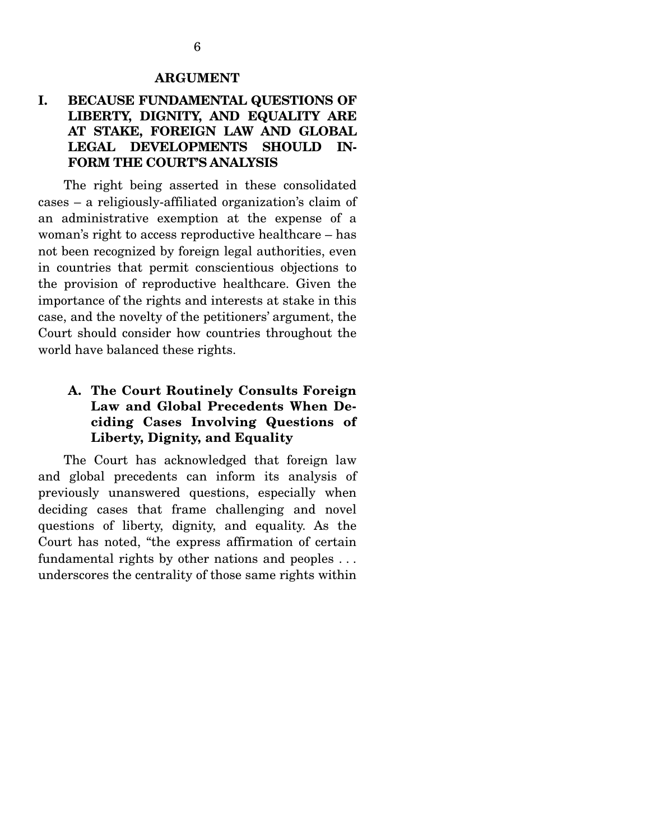#### **ARGUMENT**

### **I. BECAUSE FUNDAMENTAL QUESTIONS OF LIBERTY, DIGNITY, AND EQUALITY ARE AT STAKE, FOREIGN LAW AND GLOBAL LEGAL DEVELOPMENTS SHOULD IN-FORM THE COURT'S ANALYSIS**

 The right being asserted in these consolidated cases – a religiously-affiliated organization's claim of an administrative exemption at the expense of a woman's right to access reproductive healthcare – has not been recognized by foreign legal authorities, even in countries that permit conscientious objections to the provision of reproductive healthcare. Given the importance of the rights and interests at stake in this case, and the novelty of the petitioners' argument, the Court should consider how countries throughout the world have balanced these rights.

### **A. The Court Routinely Consults Foreign Law and Global Precedents When Deciding Cases Involving Questions of Liberty, Dignity, and Equality**

 The Court has acknowledged that foreign law and global precedents can inform its analysis of previously unanswered questions, especially when deciding cases that frame challenging and novel questions of liberty, dignity, and equality. As the Court has noted, "the express affirmation of certain fundamental rights by other nations and peoples . . . underscores the centrality of those same rights within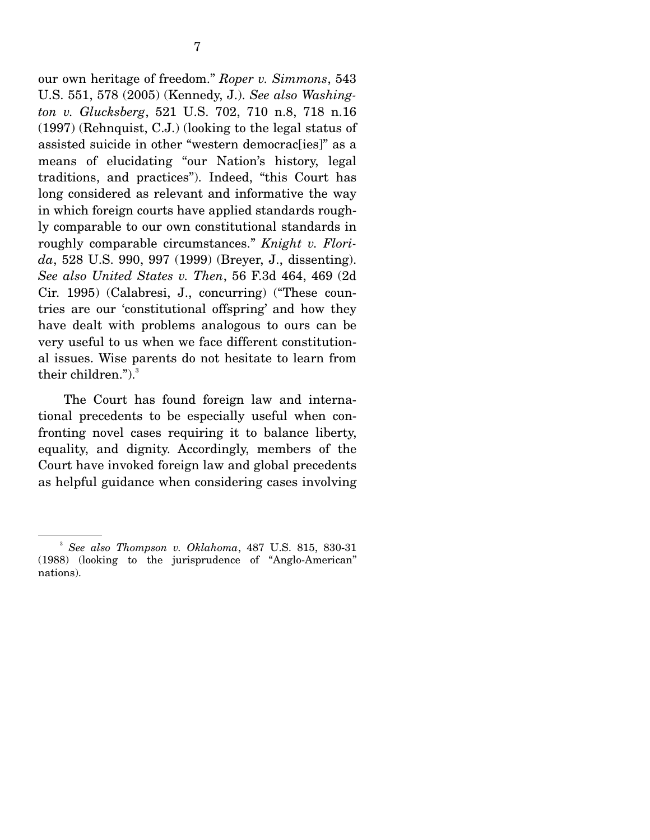our own heritage of freedom." *Roper v. Simmons*, 543 U.S. 551, 578 (2005) (Kennedy, J.). *See also Washington v. Glucksberg*, 521 U.S. 702, 710 n.8, 718 n.16 (1997) (Rehnquist, C.J.) (looking to the legal status of assisted suicide in other "western democrac[ies]" as a means of elucidating "our Nation's history, legal traditions, and practices"). Indeed, "this Court has long considered as relevant and informative the way in which foreign courts have applied standards roughly comparable to our own constitutional standards in roughly comparable circumstances." *Knight v. Florida*, 528 U.S. 990, 997 (1999) (Breyer, J., dissenting). *See also United States v. Then*, 56 F.3d 464, 469 (2d Cir. 1995) (Calabresi, J., concurring) ("These countries are our 'constitutional offspring' and how they have dealt with problems analogous to ours can be very useful to us when we face different constitutional issues. Wise parents do not hesitate to learn from their children." $)$ .

 The Court has found foreign law and international precedents to be especially useful when confronting novel cases requiring it to balance liberty, equality, and dignity. Accordingly, members of the Court have invoked foreign law and global precedents as helpful guidance when considering cases involving

<sup>3</sup> *See also Thompson v. Oklahoma*, 487 U.S. 815, 830-31 (1988) (looking to the jurisprudence of "Anglo-American" nations).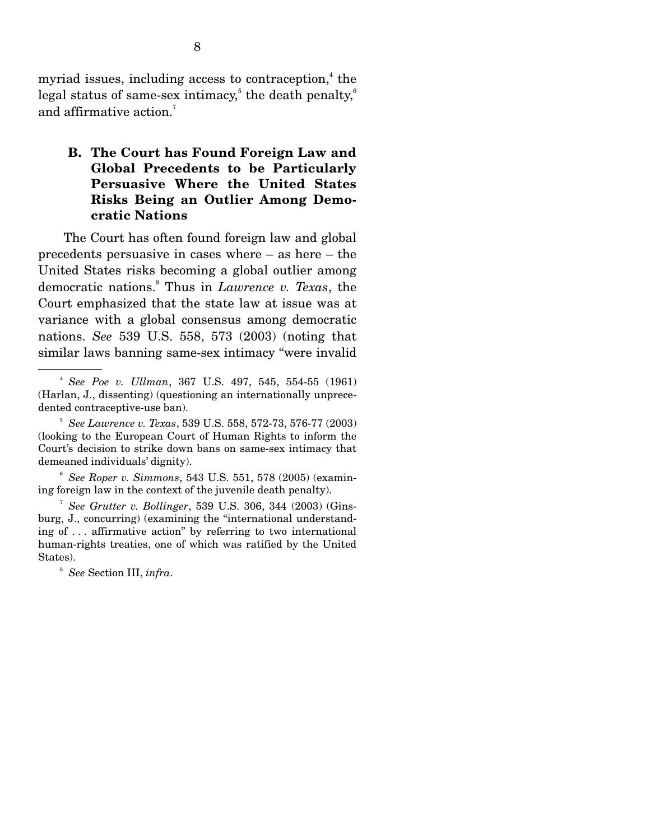myriad issues, including access to contraception,<sup>4</sup> the legal status of same-sex intimacy, $^5$  the death penalty, $^6$ and affirmative action.<sup>7</sup>

### **B. The Court has Found Foreign Law and Global Precedents to be Particularly Persuasive Where the United States Risks Being an Outlier Among Democratic Nations**

 The Court has often found foreign law and global precedents persuasive in cases where – as here – the United States risks becoming a global outlier among democratic nations.8 Thus in *Lawrence v. Texas*, the Court emphasized that the state law at issue was at variance with a global consensus among democratic nations. *See* 539 U.S. 558, 573 (2003) (noting that similar laws banning same-sex intimacy "were invalid

<sup>6</sup> *See Roper v. Simmons*, 543 U.S. 551, 578 (2005) (examining foreign law in the context of the juvenile death penalty).

<sup>7</sup> *See Grutter v. Bollinger*, 539 U.S. 306, 344 (2003) (Ginsburg, J., concurring) (examining the "international understanding of . . . affirmative action" by referring to two international human-rights treaties, one of which was ratified by the United States).

8 *See* Section III, *infra*.

<sup>4</sup> *See Poe v. Ullman*, 367 U.S. 497, 545, 554-55 (1961) (Harlan, J., dissenting) (questioning an internationally unprecedented contraceptive-use ban).

<sup>5</sup> *See Lawrence v. Texas*, 539 U.S. 558, 572-73, 576-77 (2003) (looking to the European Court of Human Rights to inform the Court's decision to strike down bans on same-sex intimacy that demeaned individuals' dignity).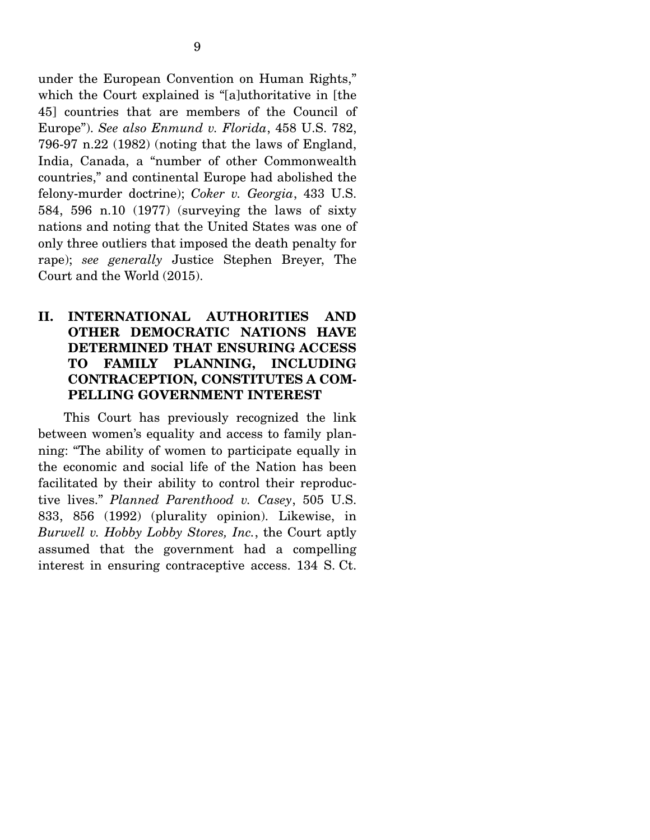under the European Convention on Human Rights," which the Court explained is "[a]uthoritative in [the 45] countries that are members of the Council of Europe"). *See also Enmund v. Florida*, 458 U.S. 782, 796-97 n.22 (1982) (noting that the laws of England, India, Canada, a "number of other Commonwealth countries," and continental Europe had abolished the felony-murder doctrine); *Coker v. Georgia*, 433 U.S. 584, 596 n.10 (1977) (surveying the laws of sixty nations and noting that the United States was one of only three outliers that imposed the death penalty for rape); *see generally* Justice Stephen Breyer, The Court and the World (2015).

### **II. INTERNATIONAL AUTHORITIES AND OTHER DEMOCRATIC NATIONS HAVE DETERMINED THAT ENSURING ACCESS TO FAMILY PLANNING, INCLUDING CONTRACEPTION, CONSTITUTES A COM-PELLING GOVERNMENT INTEREST**

 This Court has previously recognized the link between women's equality and access to family planning: "The ability of women to participate equally in the economic and social life of the Nation has been facilitated by their ability to control their reproductive lives." *Planned Parenthood v. Casey*, 505 U.S. 833, 856 (1992) (plurality opinion). Likewise, in *Burwell v. Hobby Lobby Stores, Inc.*, the Court aptly assumed that the government had a compelling interest in ensuring contraceptive access. 134 S. Ct.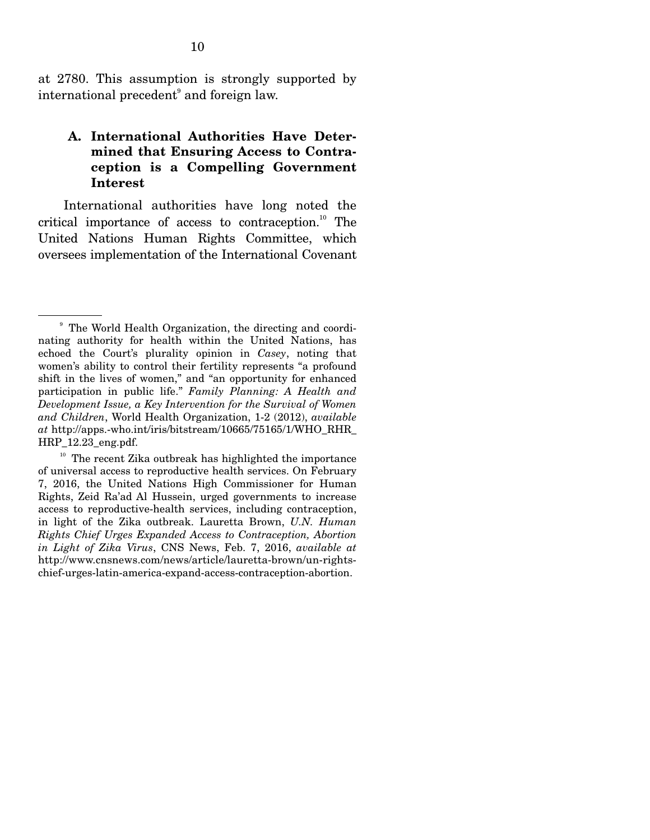at 2780. This assumption is strongly supported by international precedent<sup>9</sup> and foreign law.

#### **A. International Authorities Have Determined that Ensuring Access to Contraception is a Compelling Government Interest**

 International authorities have long noted the critical importance of access to contraception.<sup>10</sup> The United Nations Human Rights Committee, which oversees implementation of the International Covenant

<sup>9</sup> The World Health Organization, the directing and coordinating authority for health within the United Nations, has echoed the Court's plurality opinion in *Casey*, noting that women's ability to control their fertility represents "a profound shift in the lives of women," and "an opportunity for enhanced participation in public life." *Family Planning: A Health and Development Issue, a Key Intervention for the Survival of Women and Children*, World Health Organization, 1-2 (2012), *available at* http://apps.-who.int/iris/bitstream/10665/75165/1/WHO\_RHR\_ HRP\_12.23\_eng.pdf.

 $^{10}\,$  The recent Zika outbreak has highlighted the importance of universal access to reproductive health services. On February 7, 2016, the United Nations High Commissioner for Human Rights, Zeid Ra'ad Al Hussein, urged governments to increase access to reproductive-health services, including contraception, in light of the Zika outbreak. Lauretta Brown, *U.N. Human Rights Chief Urges Expanded Access to Contraception, Abortion in Light of Zika Virus*, CNS News, Feb. 7, 2016, *available at*  http://www.cnsnews.com/news/article/lauretta-brown/un-rightschief-urges-latin-america-expand-access-contraception-abortion.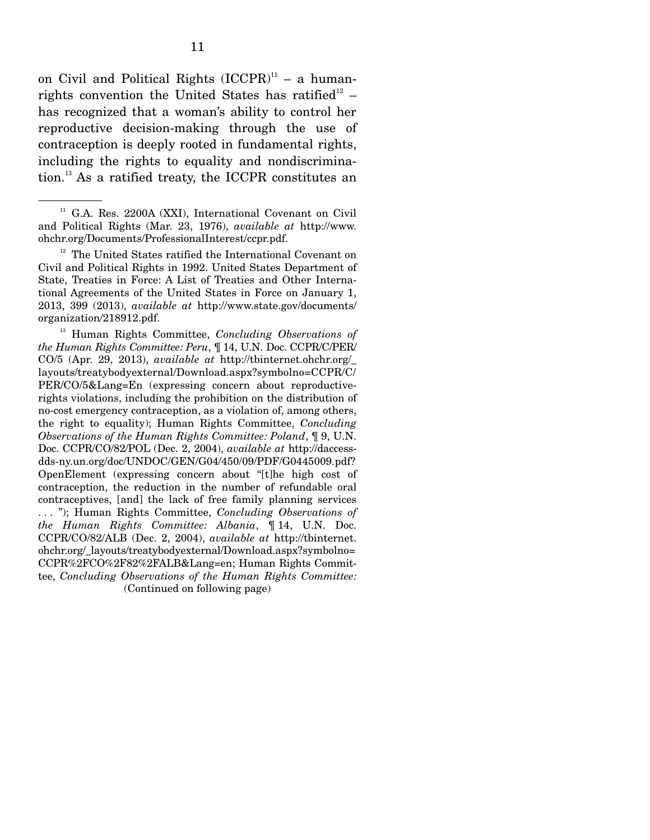on Civil and Political Rights  $(ICCPR)^{11}$  – a humanrights convention the United States has ratified<sup>12</sup> – has recognized that a woman's ability to control her reproductive decision-making through the use of contraception is deeply rooted in fundamental rights, including the rights to equality and nondiscrimination.13 As a ratified treaty, the ICCPR constitutes an

<sup>12</sup> The United States ratified the International Covenant on Civil and Political Rights in 1992. United States Department of State, Treaties in Force: A List of Treaties and Other International Agreements of the United States in Force on January 1, 2013, 399 (2013), *available at* http://www.state.gov/documents/ organization/218912.pdf.

13 Human Rights Committee, *Concluding Observations of the Human Rights Committee: Peru*, ¶ 14, U.N. Doc. CCPR/C/PER/ CO/5 (Apr. 29, 2013), *available at* http://tbinternet.ohchr.org/\_ layouts/treatybodyexternal/Download.aspx?symbolno=CCPR/C/ PER/CO/5&Lang=En (expressing concern about reproductiverights violations, including the prohibition on the distribution of no-cost emergency contraception, as a violation of, among others, the right to equality); Human Rights Committee, *Concluding Observations of the Human Rights Committee: Poland*, ¶ 9, U.N. Doc. CCPR/CO/82/POL (Dec. 2, 2004), *available at* http://daccessdds-ny.un.org/doc/UNDOC/GEN/G04/450/09/PDF/G0445009.pdf? OpenElement (expressing concern about "[t]he high cost of contraception, the reduction in the number of refundable oral contraceptives, [and] the lack of free family planning services . . . "); Human Rights Committee, *Concluding Observations of the Human Rights Committee: Albania*, ¶ 14, U.N. Doc. CCPR/CO/82/ALB (Dec. 2, 2004), *available at* http://tbinternet. ohchr.org/\_layouts/treatybodyexternal/Download.aspx?symbolno= CCPR%2FCO%2F82%2FALB&Lang=en; Human Rights Committee, *Concluding Observations of the Human Rights Committee:*  (Continued on following page)

<sup>&</sup>lt;sup>11</sup> G.A. Res. 2200A (XXI), International Covenant on Civil and Political Rights (Mar. 23, 1976), *available at* http://www. ohchr.org/Documents/ProfessionalInterest/ccpr.pdf.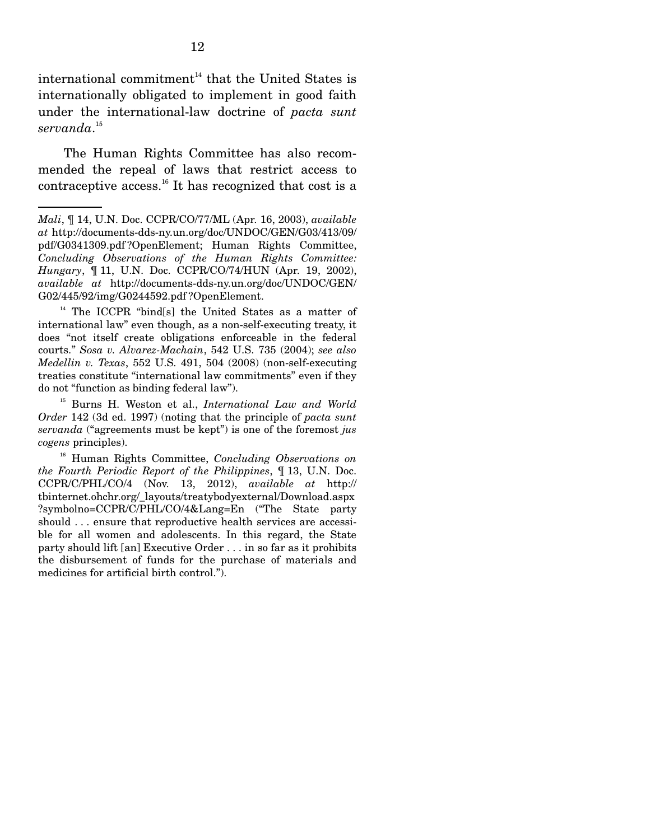international commitment $14$  that the United States is internationally obligated to implement in good faith under the international-law doctrine of *pacta sunt servanda*. 15

 The Human Rights Committee has also recommended the repeal of laws that restrict access to contraceptive access.<sup>16</sup> It has recognized that cost is a

<sup>14</sup> The ICCPR "bind[s] the United States as a matter of international law" even though, as a non-self-executing treaty, it does "not itself create obligations enforceable in the federal courts." *Sosa v. Alvarez-Machain*, 542 U.S. 735 (2004); *see also Medellin v. Texas*, 552 U.S. 491, 504 (2008) (non-self-executing treaties constitute "international law commitments" even if they do not "function as binding federal law").

15 Burns H. Weston et al., *International Law and World Order* 142 (3d ed. 1997) (noting that the principle of *pacta sunt servanda* ("agreements must be kept") is one of the foremost *jus cogens* principles).

16 Human Rights Committee, *Concluding Observations on the Fourth Periodic Report of the Philippines*, ¶ 13, U.N. Doc. CCPR/C/PHL/CO/4 (Nov. 13, 2012), *available at* http:// tbinternet.ohchr.org/\_layouts/treatybodyexternal/Download.aspx ?symbolno=CCPR/C/PHL/CO/4&Lang=En ("The State party should . . . ensure that reproductive health services are accessible for all women and adolescents. In this regard, the State party should lift [an] Executive Order . . . in so far as it prohibits the disbursement of funds for the purchase of materials and medicines for artificial birth control.").

*Mali*, ¶ 14, U.N. Doc. CCPR/CO/77/ML (Apr. 16, 2003), *available at* http://documents-dds-ny.un.org/doc/UNDOC/GEN/G03/413/09/ pdf/G0341309.pdf ?OpenElement; Human Rights Committee, *Concluding Observations of the Human Rights Committee: Hungary*, ¶ 11, U.N. Doc. CCPR/CO/74/HUN (Apr. 19, 2002), *available at* http://documents-dds-ny.un.org/doc/UNDOC/GEN/ G02/445/92/img/G0244592.pdf ?OpenElement.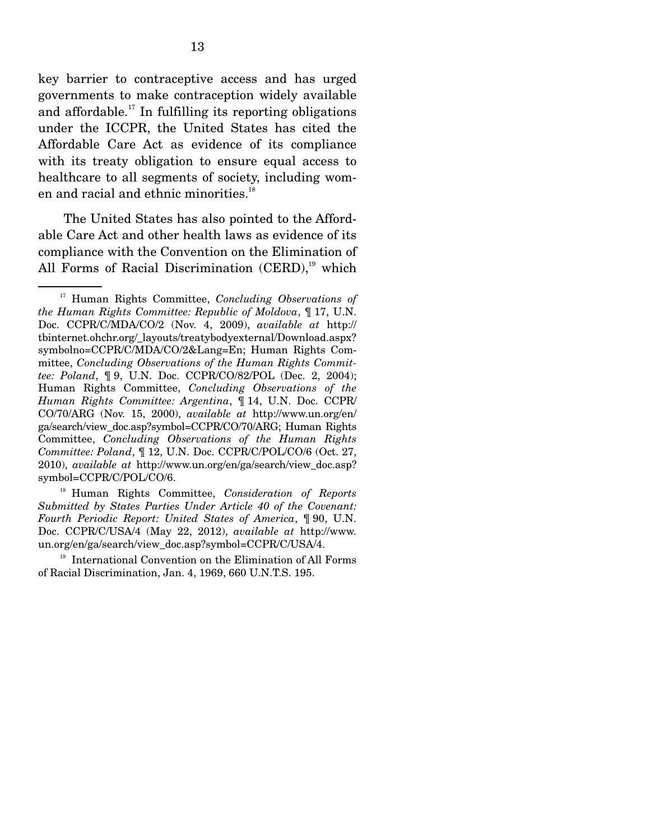key barrier to contraceptive access and has urged governments to make contraception widely available and affordable.<sup>17</sup> In fulfilling its reporting obligations under the ICCPR, the United States has cited the Affordable Care Act as evidence of its compliance with its treaty obligation to ensure equal access to healthcare to all segments of society, including women and racial and ethnic minorities.<sup>18</sup>

 The United States has also pointed to the Affordable Care Act and other health laws as evidence of its compliance with the Convention on the Elimination of All Forms of Racial Discrimination  $(CERD)$ ,<sup>19</sup> which

18 Human Rights Committee, *Consideration of Reports Submitted by States Parties Under Article 40 of the Covenant: Fourth Periodic Report: United States of America*, ¶ 90, U.N. Doc. CCPR/C/USA/4 (May 22, 2012), *available at* http://www. un.org/en/ga/search/view\_doc.asp?symbol=CCPR/C/USA/4.

<sup>19</sup> International Convention on the Elimination of All Forms of Racial Discrimination, Jan. 4, 1969, 660 U.N.T.S. 195.

<sup>17</sup> Human Rights Committee, *Concluding Observations of the Human Rights Committee: Republic of Moldova*, ¶ 17, U.N. Doc. CCPR/C/MDA/CO/2 (Nov. 4, 2009), *available at* http:// tbinternet.ohchr.org/\_layouts/treatybodyexternal/Download.aspx? symbolno=CCPR/C/MDA/CO/2&Lang=En; Human Rights Committee, *Concluding Observations of the Human Rights Committee: Poland*, ¶ 9, U.N. Doc. CCPR/CO/82/POL (Dec. 2, 2004); Human Rights Committee, *Concluding Observations of the Human Rights Committee: Argentina*, ¶ 14, U.N. Doc. CCPR/ CO/70/ARG (Nov. 15, 2000), *available at* http://www.un.org/en/ ga/search/view\_doc.asp?symbol=CCPR/CO/70/ARG; Human Rights Committee, *Concluding Observations of the Human Rights Committee: Poland*, ¶ 12, U.N. Doc. CCPR/C/POL/CO/6 (Oct. 27, 2010), *available at* http://www.un.org/en/ga/search/view\_doc.asp? symbol=CCPR/C/POL/CO/6.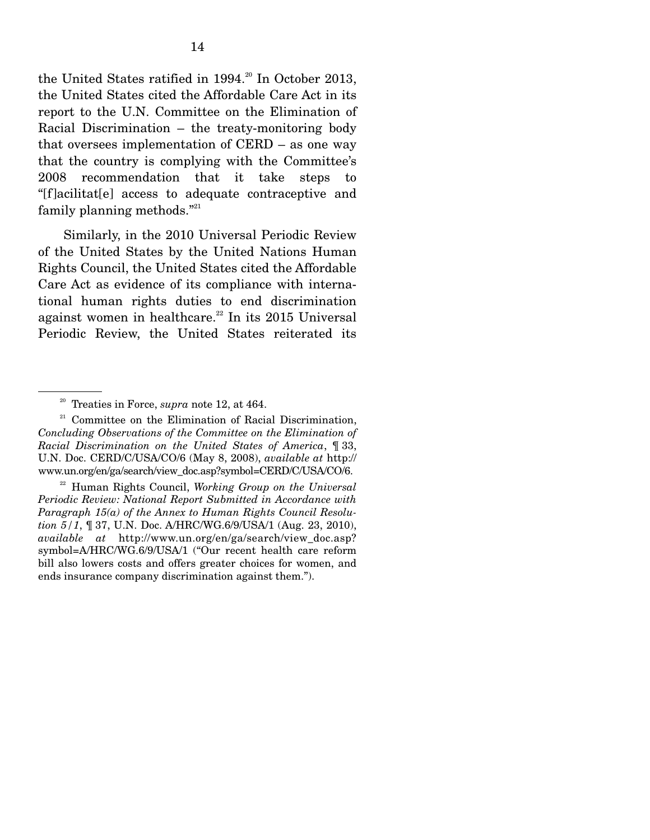the United States ratified in 1994.<sup>20</sup> In October 2013, the United States cited the Affordable Care Act in its report to the U.N. Committee on the Elimination of Racial Discrimination – the treaty-monitoring body that oversees implementation of CERD – as one way that the country is complying with the Committee's 2008 recommendation that it take steps to "[f]acilitat[e] access to adequate contraceptive and family planning methods."<sup>21</sup>

 Similarly, in the 2010 Universal Periodic Review of the United States by the United Nations Human Rights Council, the United States cited the Affordable Care Act as evidence of its compliance with international human rights duties to end discrimination against women in healthcare.<sup>22</sup> In its 2015 Universal Periodic Review, the United States reiterated its

22 Human Rights Council, *Working Group on the Universal Periodic Review: National Report Submitted in Accordance with Paragraph 15(a) of the Annex to Human Rights Council Resolution 5/1*, ¶ 37, U.N. Doc. A/HRC/WG.6/9/USA/1 (Aug. 23, 2010), *available at* http://www.un.org/en/ga/search/view\_doc.asp? symbol=A/HRC/WG.6/9/USA/1 ("Our recent health care reform bill also lowers costs and offers greater choices for women, and ends insurance company discrimination against them.").

<sup>20</sup> Treaties in Force, *supra* note 12, at 464.

 $21$  Committee on the Elimination of Racial Discrimination, *Concluding Observations of the Committee on the Elimination of Racial Discrimination on the United States of America*, ¶ 33, U.N. Doc. CERD/C/USA/CO/6 (May 8, 2008), *available at* http:// www.un.org/en/ga/search/view\_doc.asp?symbol=CERD/C/USA/CO/6.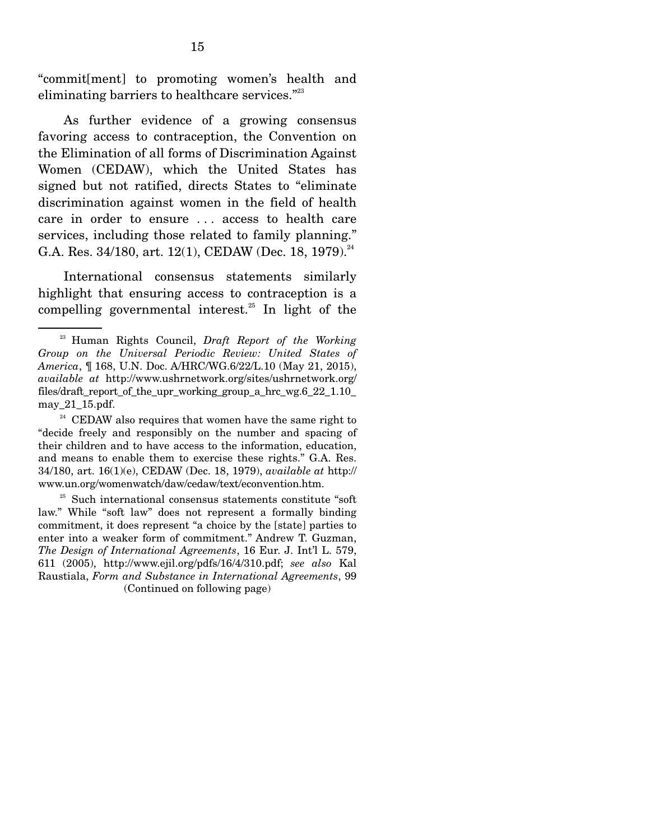"commit[ment] to promoting women's health and eliminating barriers to healthcare services."<sup>23</sup>

 As further evidence of a growing consensus favoring access to contraception, the Convention on the Elimination of all forms of Discrimination Against Women (CEDAW), which the United States has signed but not ratified, directs States to "eliminate discrimination against women in the field of health care in order to ensure ... access to health care services, including those related to family planning." G.A. Res.  $34/180$ , art.  $12(1)$ , CEDAW (Dec. 18, 1979).<sup>24</sup>

 International consensus statements similarly highlight that ensuring access to contraception is a compelling governmental interest.<sup>25</sup> In light of the

<sup>23</sup> Human Rights Council, *Draft Report of the Working Group on the Universal Periodic Review: United States of America*, ¶ 168, U.N. Doc. A/HRC/WG.6/22/L.10 (May 21, 2015), *available at* http://www.ushrnetwork.org/sites/ushrnetwork.org/ files/draft\_report\_of\_the\_upr\_working\_group\_a\_hrc\_wg.6\_22\_1.10\_ may\_21\_15.pdf.

 $24$  CEDAW also requires that women have the same right to "decide freely and responsibly on the number and spacing of their children and to have access to the information, education, and means to enable them to exercise these rights." G.A. Res. 34/180, art. 16(1)(e), CEDAW (Dec. 18, 1979), *available at* http:// www.un.org/womenwatch/daw/cedaw/text/econvention.htm.

<sup>&</sup>lt;sup>25</sup> Such international consensus statements constitute "soft law." While "soft law" does not represent a formally binding commitment, it does represent "a choice by the [state] parties to enter into a weaker form of commitment." Andrew T. Guzman, *The Design of International Agreements*, 16 Eur. J. Int'l L. 579, 611 (2005), http://www.ejil.org/pdfs/16/4/310.pdf; *see also* Kal Raustiala, *Form and Substance in International Agreements*, 99 (Continued on following page)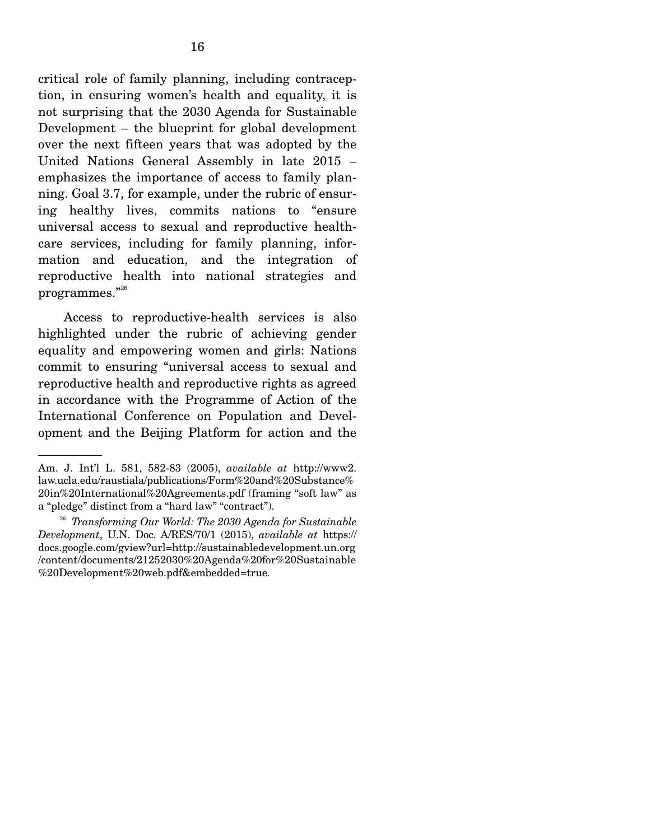critical role of family planning, including contraception, in ensuring women's health and equality, it is not surprising that the 2030 Agenda for Sustainable Development – the blueprint for global development over the next fifteen years that was adopted by the United Nations General Assembly in late 2015 – emphasizes the importance of access to family planning. Goal 3.7, for example, under the rubric of ensuring healthy lives, commits nations to "ensure universal access to sexual and reproductive healthcare services, including for family planning, information and education, and the integration of reproductive health into national strategies and programmes."26

 Access to reproductive-health services is also highlighted under the rubric of achieving gender equality and empowering women and girls: Nations commit to ensuring "universal access to sexual and reproductive health and reproductive rights as agreed in accordance with the Programme of Action of the International Conference on Population and Development and the Beijing Platform for action and the

Am. J. Int'l L. 581, 582-83 (2005), *available at* http://www2. law.ucla.edu/raustiala/publications/Form%20and%20Substance% 20in%20International%20Agreements.pdf (framing "soft law" as a "pledge" distinct from a "hard law" "contract").

<sup>26</sup> *Transforming Our World: The 2030 Agenda for Sustainable Development*, U.N. Doc. A/RES/70/1 (2015), *available at* https:// docs.google.com/gview?url=http://sustainabledevelopment.un.org /content/documents/21252030%20Agenda%20for%20Sustainable %20Development%20web.pdf&embedded=true*.*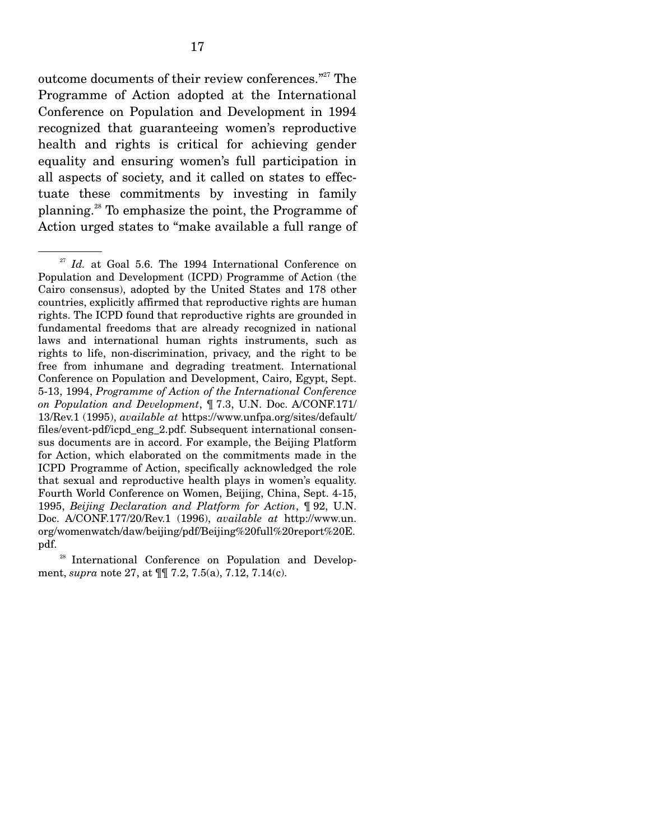outcome documents of their review conferences."<sup>27</sup> The Programme of Action adopted at the International Conference on Population and Development in 1994 recognized that guaranteeing women's reproductive health and rights is critical for achieving gender equality and ensuring women's full participation in all aspects of society, and it called on states to effectuate these commitments by investing in family planning.28 To emphasize the point, the Programme of Action urged states to "make available a full range of

<sup>&</sup>lt;sup>27</sup> *Id.* at Goal 5.6. The 1994 International Conference on Population and Development (ICPD) Programme of Action (the Cairo consensus), adopted by the United States and 178 other countries, explicitly affirmed that reproductive rights are human rights. The ICPD found that reproductive rights are grounded in fundamental freedoms that are already recognized in national laws and international human rights instruments, such as rights to life, non-discrimination, privacy, and the right to be free from inhumane and degrading treatment. International Conference on Population and Development, Cairo, Egypt, Sept. 5-13, 1994, *Programme of Action of the International Conference on Population and Development*, ¶ 7.3, U.N. Doc. A/CONF.171/ 13/Rev.1 (1995), *available at* https://www.unfpa.org/sites/default/ files/event-pdf/icpd\_eng\_2.pdf. Subsequent international consensus documents are in accord. For example, the Beijing Platform for Action, which elaborated on the commitments made in the ICPD Programme of Action, specifically acknowledged the role that sexual and reproductive health plays in women's equality. Fourth World Conference on Women, Beijing, China, Sept. 4-15, 1995, *Beijing Declaration and Platform for Action*, ¶ 92, U.N. Doc. A/CONF.177/20/Rev.1 (1996), *available at* http://www.un. org/womenwatch/daw/beijing/pdf/Beijing%20full%20report%20E. pdf.

<sup>&</sup>lt;sup>28</sup> International Conference on Population and Development, *supra* note 27, at ¶¶ 7.2, 7.5(a), 7.12, 7.14(c).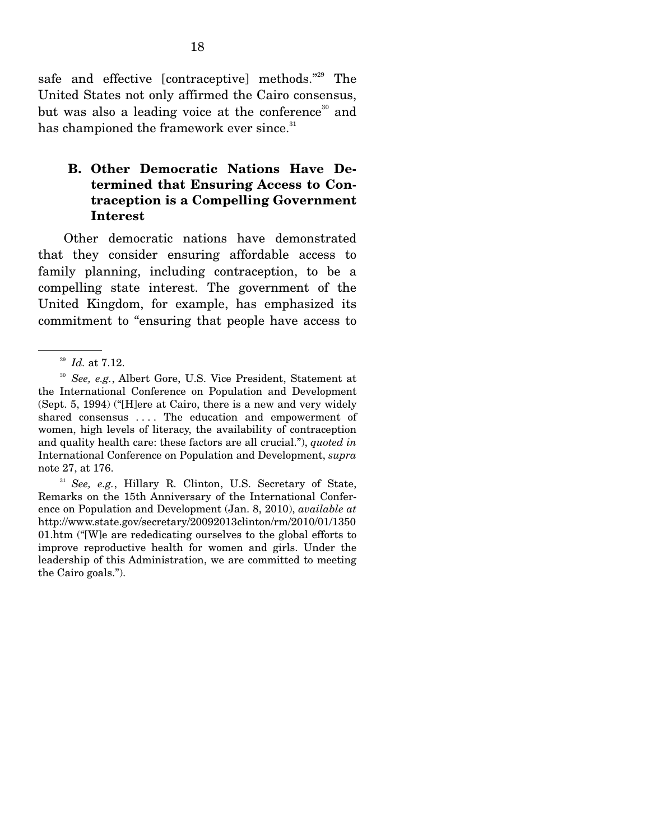safe and effective [contraceptive] methods."<sup>29</sup> The United States not only affirmed the Cairo consensus, but was also a leading voice at the conference<sup>30</sup> and has championed the framework ever since.<sup>31</sup>

#### **B. Other Democratic Nations Have Determined that Ensuring Access to Contraception is a Compelling Government Interest**

 Other democratic nations have demonstrated that they consider ensuring affordable access to family planning, including contraception, to be a compelling state interest. The government of the United Kingdom, for example, has emphasized its commitment to "ensuring that people have access to

<sup>31</sup> See, e.g., Hillary R. Clinton, U.S. Secretary of State, Remarks on the 15th Anniversary of the International Conference on Population and Development (Jan. 8, 2010), *available at*  http://www.state.gov/secretary/20092013clinton/rm/2010/01/1350 01.htm ("[W]e are rededicating ourselves to the global efforts to improve reproductive health for women and girls. Under the leadership of this Administration, we are committed to meeting the Cairo goals.").

<sup>29</sup> *Id.* at 7.12.

<sup>30</sup> *See, e.g.*, Albert Gore, U.S. Vice President, Statement at the International Conference on Population and Development (Sept. 5, 1994) ("[H]ere at Cairo, there is a new and very widely shared consensus .... The education and empowerment of women, high levels of literacy, the availability of contraception and quality health care: these factors are all crucial."), *quoted in*  International Conference on Population and Development, *supra* note 27, at 176.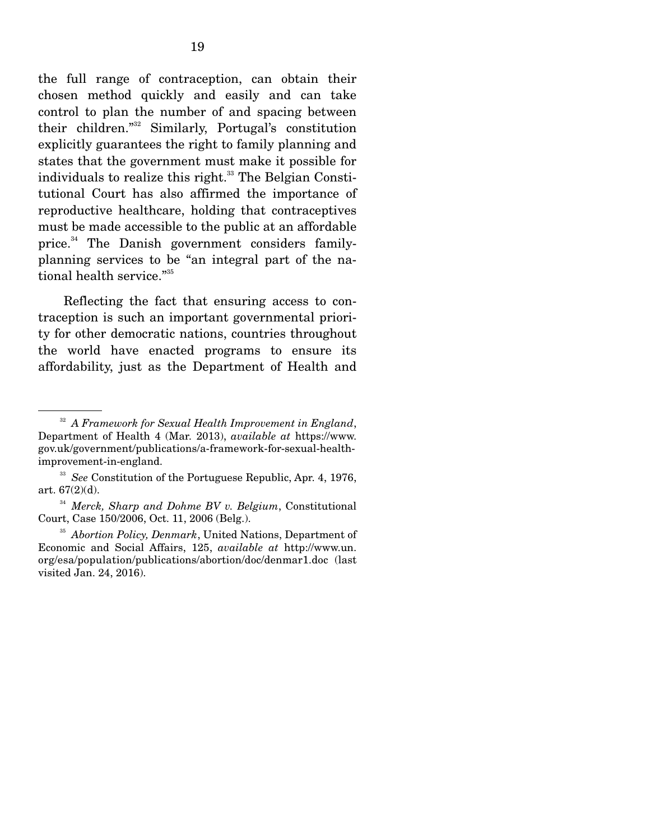the full range of contraception, can obtain their chosen method quickly and easily and can take control to plan the number of and spacing between their children."32 Similarly, Portugal's constitution explicitly guarantees the right to family planning and states that the government must make it possible for individuals to realize this right. $33$  The Belgian Constitutional Court has also affirmed the importance of reproductive healthcare, holding that contraceptives must be made accessible to the public at an affordable price.<sup>34</sup> The Danish government considers familyplanning services to be "an integral part of the national health service."<sup>35</sup>

 Reflecting the fact that ensuring access to contraception is such an important governmental priority for other democratic nations, countries throughout the world have enacted programs to ensure its affordability, just as the Department of Health and

<sup>32</sup> *A Framework for Sexual Health Improvement in England*, Department of Health 4 (Mar. 2013), *available at* https://www. gov.uk/government/publications/a-framework-for-sexual-healthimprovement-in-england.

<sup>33</sup> *See* Constitution of the Portuguese Republic, Apr. 4, 1976, art. 67(2)(d).

<sup>34</sup> *Merck, Sharp and Dohme BV v. Belgium*, Constitutional Court, Case 150/2006, Oct. 11, 2006 (Belg.). 35 *Abortion Policy, Denmark*, United Nations, Department of

Economic and Social Affairs, 125, *available at* http://www.un. org/esa/population/publications/abortion/doc/denmar1.doc (last visited Jan. 24, 2016).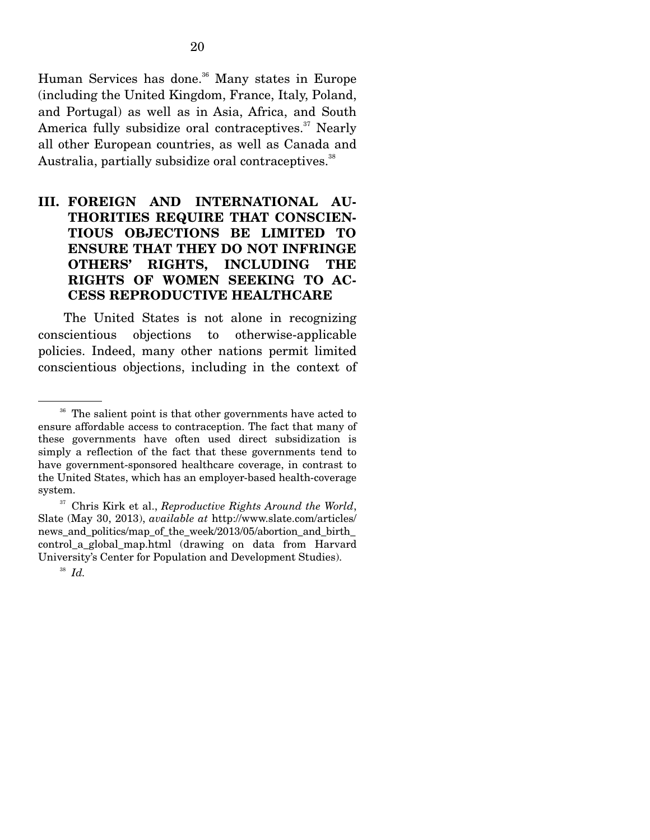Human Services has done.<sup>36</sup> Many states in Europe (including the United Kingdom, France, Italy, Poland, and Portugal) as well as in Asia, Africa, and South America fully subsidize oral contraceptives.<sup>37</sup> Nearly all other European countries, as well as Canada and Australia, partially subsidize oral contraceptives.<sup>38</sup>

### **III. FOREIGN AND INTERNATIONAL AU-THORITIES REQUIRE THAT CONSCIEN-TIOUS OBJECTIONS BE LIMITED TO ENSURE THAT THEY DO NOT INFRINGE OTHERS' RIGHTS, INCLUDING THE RIGHTS OF WOMEN SEEKING TO AC-CESS REPRODUCTIVE HEALTHCARE**

 The United States is not alone in recognizing conscientious objections to otherwise-applicable policies. Indeed, many other nations permit limited conscientious objections, including in the context of

<sup>&</sup>lt;sup>36</sup> The salient point is that other governments have acted to ensure affordable access to contraception. The fact that many of these governments have often used direct subsidization is simply a reflection of the fact that these governments tend to have government-sponsored healthcare coverage, in contrast to the United States, which has an employer-based health-coverage system.

<sup>37</sup> Chris Kirk et al., *Reproductive Rights Around the World*, Slate (May 30, 2013), *available at* http://www.slate.com/articles/ news and politics/map of the week/2013/05/abortion and birth control\_a\_global\_map.html (drawing on data from Harvard University's Center for Population and Development Studies).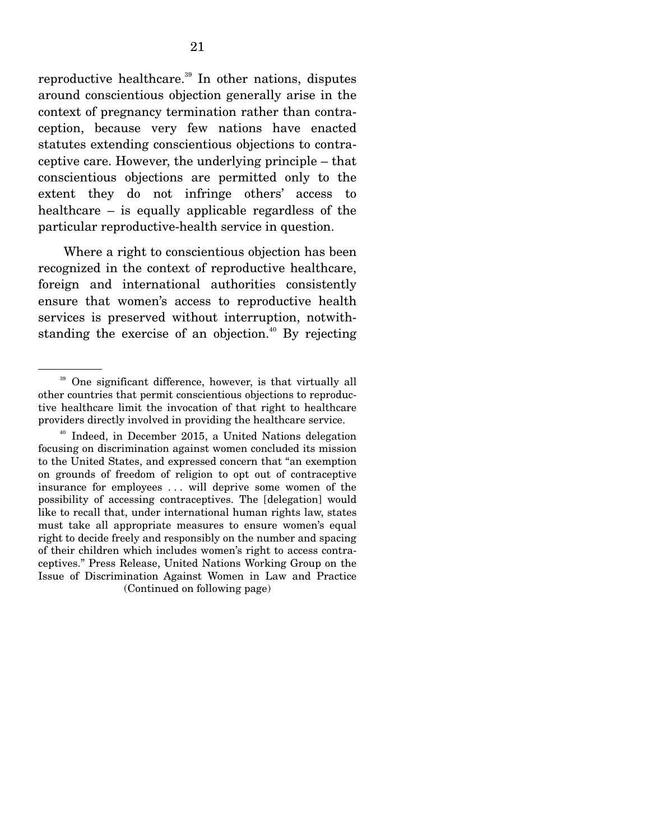reproductive healthcare.<sup>39</sup> In other nations, disputes around conscientious objection generally arise in the context of pregnancy termination rather than contraception, because very few nations have enacted statutes extending conscientious objections to contraceptive care. However, the underlying principle – that conscientious objections are permitted only to the extent they do not infringe others' access to healthcare – is equally applicable regardless of the particular reproductive-health service in question.

 Where a right to conscientious objection has been recognized in the context of reproductive healthcare, foreign and international authorities consistently ensure that women's access to reproductive health services is preserved without interruption, notwithstanding the exercise of an objection.<sup> $40$ </sup> By rejecting

<sup>&</sup>lt;sup>39</sup> One significant difference, however, is that virtually all other countries that permit conscientious objections to reproductive healthcare limit the invocation of that right to healthcare providers directly involved in providing the healthcare service.

<sup>40</sup> Indeed, in December 2015, a United Nations delegation focusing on discrimination against women concluded its mission to the United States, and expressed concern that "an exemption on grounds of freedom of religion to opt out of contraceptive insurance for employees . . . will deprive some women of the possibility of accessing contraceptives. The [delegation] would like to recall that, under international human rights law, states must take all appropriate measures to ensure women's equal right to decide freely and responsibly on the number and spacing of their children which includes women's right to access contraceptives." Press Release, United Nations Working Group on the Issue of Discrimination Against Women in Law and Practice (Continued on following page)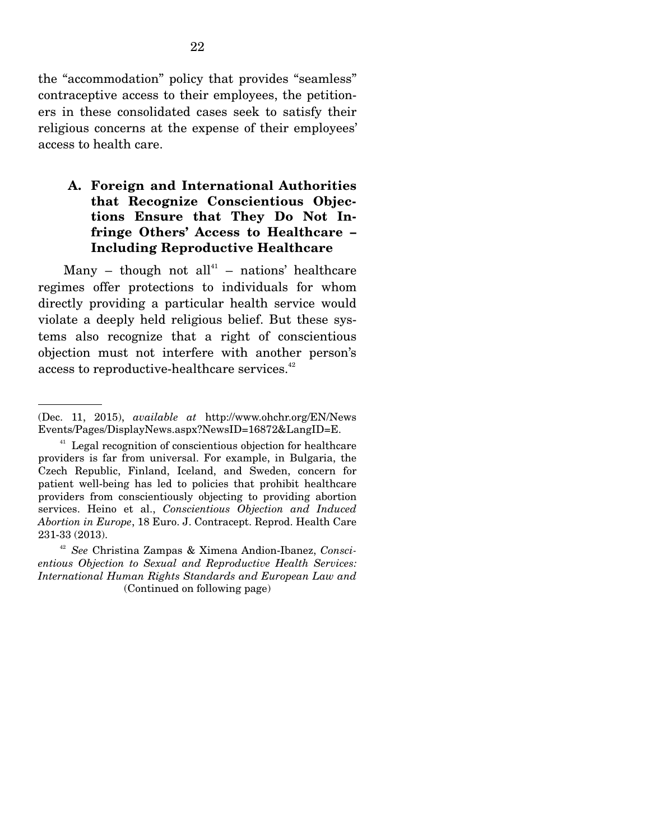the "accommodation" policy that provides "seamless" contraceptive access to their employees, the petitioners in these consolidated cases seek to satisfy their religious concerns at the expense of their employees' access to health care.

### **A. Foreign and International Authorities that Recognize Conscientious Objections Ensure that They Do Not Infringe Others' Access to Healthcare – Including Reproductive Healthcare**

Many – though not all<sup>41</sup> – nations' healthcare regimes offer protections to individuals for whom directly providing a particular health service would violate a deeply held religious belief. But these systems also recognize that a right of conscientious objection must not interfere with another person's access to reproductive-healthcare services.<sup>42</sup>

<sup>(</sup>Dec. 11, 2015), *available at* http://www.ohchr.org/EN/News Events/Pages/DisplayNews.aspx?NewsID=16872&LangID=E.

<sup>&</sup>lt;sup>41</sup> Legal recognition of conscientious objection for healthcare providers is far from universal. For example, in Bulgaria, the Czech Republic, Finland, Iceland, and Sweden, concern for patient well-being has led to policies that prohibit healthcare providers from conscientiously objecting to providing abortion services. Heino et al., *Conscientious Objection and Induced Abortion in Europe*, 18 Euro. J. Contracept. Reprod. Health Care 231-33 (2013).

<sup>42</sup> *See* Christina Zampas & Ximena Andion-Ibanez, *Conscientious Objection to Sexual and Reproductive Health Services: International Human Rights Standards and European Law and*  (Continued on following page)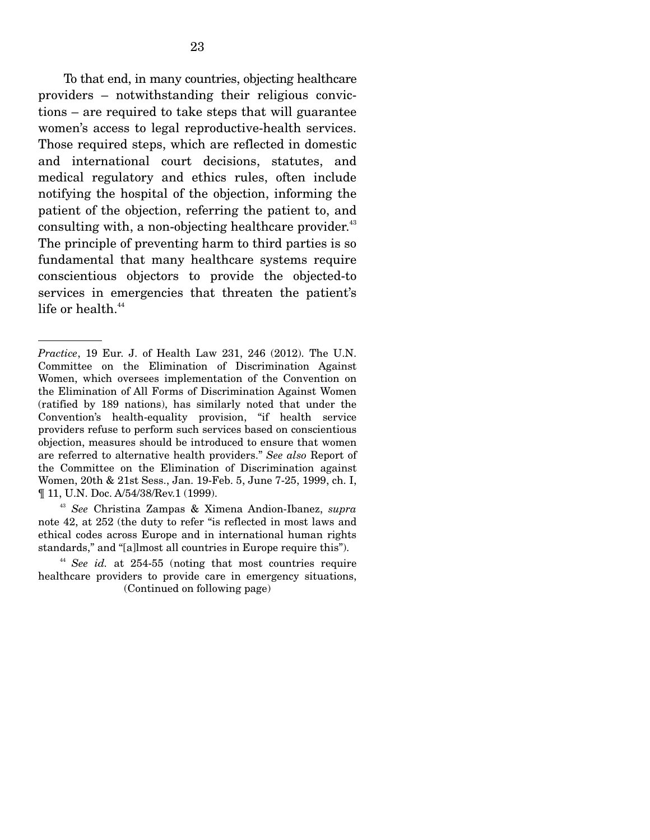To that end, in many countries, objecting healthcare providers – notwithstanding their religious convictions – are required to take steps that will guarantee women's access to legal reproductive-health services. Those required steps, which are reflected in domestic and international court decisions, statutes, and medical regulatory and ethics rules, often include notifying the hospital of the objection, informing the patient of the objection, referring the patient to, and consulting with, a non-objecting healthcare provider.<sup>43</sup> The principle of preventing harm to third parties is so fundamental that many healthcare systems require conscientious objectors to provide the objected-to services in emergencies that threaten the patient's life or health. $44$ 

*Practice*, 19 Eur. J. of Health Law 231, 246 (2012). The U.N. Committee on the Elimination of Discrimination Against Women, which oversees implementation of the Convention on the Elimination of All Forms of Discrimination Against Women (ratified by 189 nations), has similarly noted that under the Convention's health-equality provision, "if health service providers refuse to perform such services based on conscientious objection, measures should be introduced to ensure that women are referred to alternative health providers." *See also* Report of the Committee on the Elimination of Discrimination against Women, 20th & 21st Sess., Jan. 19-Feb. 5, June 7-25, 1999, ch. I, ¶ 11, U.N. Doc. A/54/38/Rev.1 (1999).

<sup>43</sup> *See* Christina Zampas & Ximena Andion-Ibanez, *supra*  note 42, at 252 (the duty to refer "is reflected in most laws and ethical codes across Europe and in international human rights standards," and "[a]lmost all countries in Europe require this").

<sup>&</sup>lt;sup>44</sup> *See id.* at 254-55 (noting that most countries require healthcare providers to provide care in emergency situations, (Continued on following page)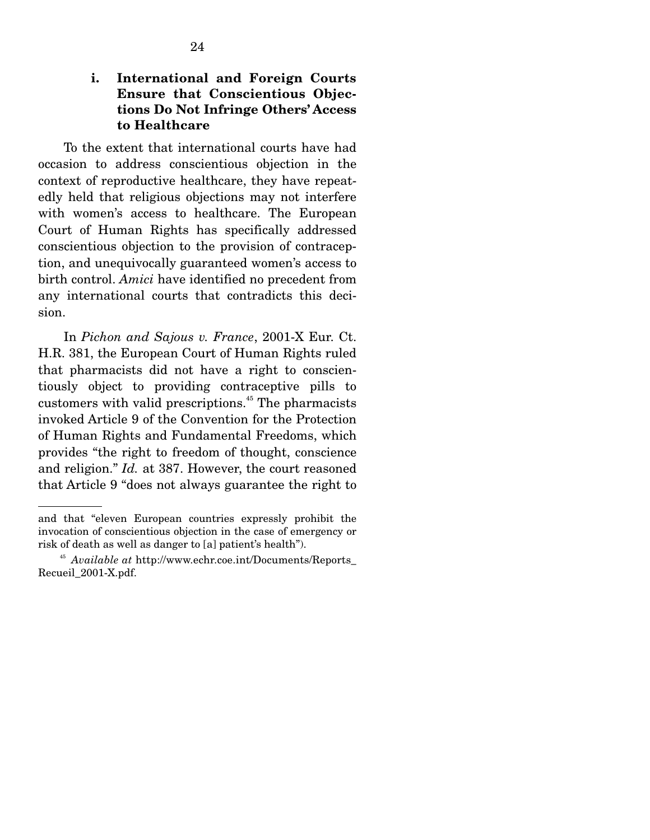### **i. International and Foreign Courts Ensure that Conscientious Objections Do Not Infringe Others' Access to Healthcare**

 To the extent that international courts have had occasion to address conscientious objection in the context of reproductive healthcare, they have repeatedly held that religious objections may not interfere with women's access to healthcare. The European Court of Human Rights has specifically addressed conscientious objection to the provision of contraception, and unequivocally guaranteed women's access to birth control. *Amici* have identified no precedent from any international courts that contradicts this decision.

 In *Pichon and Sajous v. France*, 2001-X Eur. Ct. H.R. 381, the European Court of Human Rights ruled that pharmacists did not have a right to conscientiously object to providing contraceptive pills to customers with valid prescriptions.<sup>45</sup> The pharmacists invoked Article 9 of the Convention for the Protection of Human Rights and Fundamental Freedoms, which provides "the right to freedom of thought, conscience and religion." *Id.* at 387. However, the court reasoned that Article 9 "does not always guarantee the right to

and that "eleven European countries expressly prohibit the invocation of conscientious objection in the case of emergency or risk of death as well as danger to [a] patient's health").

<sup>45</sup> *Available at* http://www.echr.coe.int/Documents/Reports\_ Recueil\_2001-X.pdf.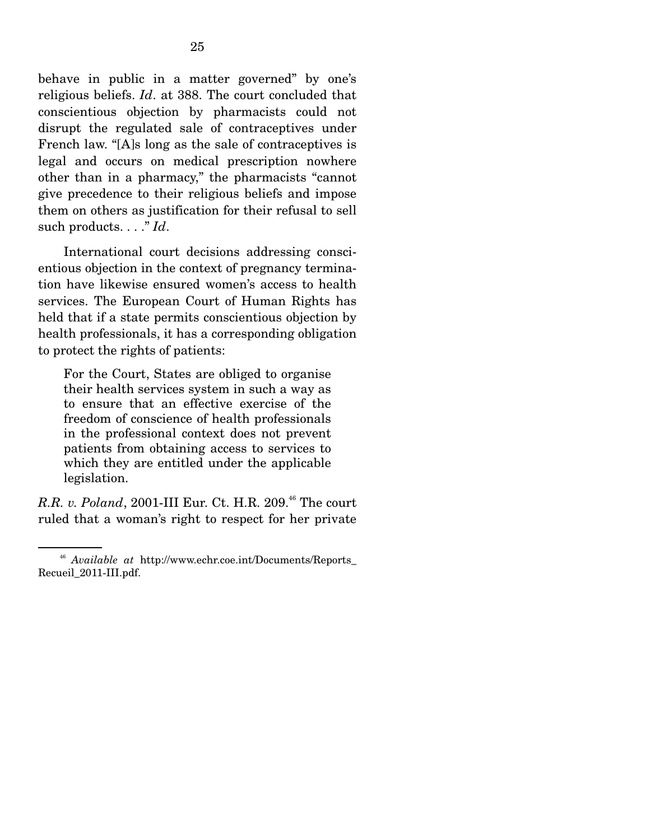behave in public in a matter governed" by one's religious beliefs. *Id*. at 388. The court concluded that conscientious objection by pharmacists could not disrupt the regulated sale of contraceptives under French law. "[A]s long as the sale of contraceptives is legal and occurs on medical prescription nowhere other than in a pharmacy," the pharmacists "cannot give precedence to their religious beliefs and impose them on others as justification for their refusal to sell such products. . . ." *Id*.

 International court decisions addressing conscientious objection in the context of pregnancy termination have likewise ensured women's access to health services. The European Court of Human Rights has held that if a state permits conscientious objection by health professionals, it has a corresponding obligation to protect the rights of patients:

For the Court, States are obliged to organise their health services system in such a way as to ensure that an effective exercise of the freedom of conscience of health professionals in the professional context does not prevent patients from obtaining access to services to which they are entitled under the applicable legislation.

*R.R. v. Poland*, 2001-III Eur. Ct. H.R. 209.<sup>46</sup> The court ruled that a woman's right to respect for her private

<sup>46</sup> *Available at* http://www.echr.coe.int/Documents/Reports\_ Recueil\_2011-III.pdf.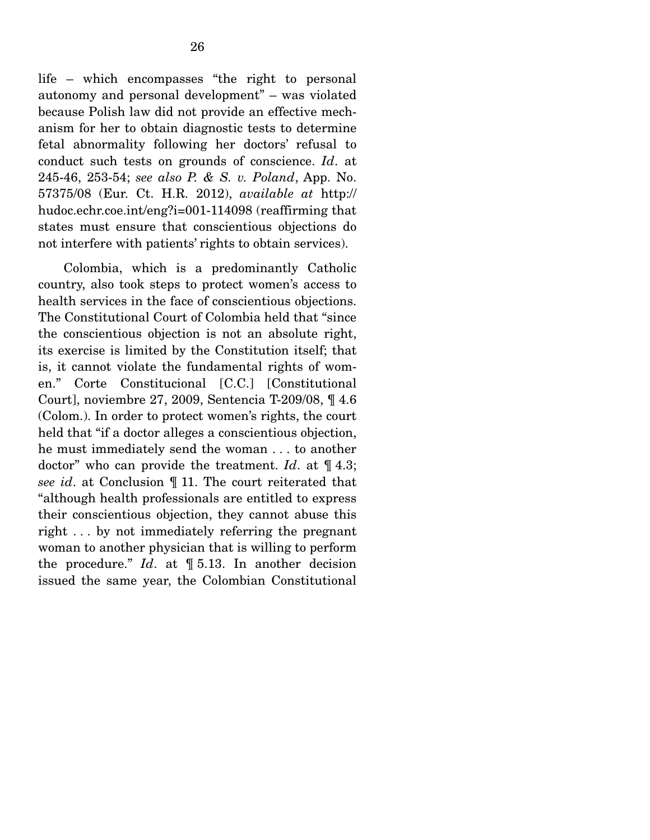life – which encompasses "the right to personal autonomy and personal development" – was violated because Polish law did not provide an effective mechanism for her to obtain diagnostic tests to determine fetal abnormality following her doctors' refusal to conduct such tests on grounds of conscience. *Id*. at 245-46, 253-54; *see also P. & S. v. Poland*, App. No. 57375/08 (Eur. Ct. H.R. 2012), *available at* http:// hudoc.echr.coe.int/eng?i=001-114098 (reaffirming that states must ensure that conscientious objections do not interfere with patients' rights to obtain services).

 Colombia, which is a predominantly Catholic country, also took steps to protect women's access to health services in the face of conscientious objections. The Constitutional Court of Colombia held that "since the conscientious objection is not an absolute right, its exercise is limited by the Constitution itself; that is, it cannot violate the fundamental rights of women." Corte Constitucional [C.C.] [Constitutional Court], noviembre 27, 2009, Sentencia T-209/08, ¶ 4.6 (Colom.). In order to protect women's rights, the court held that "if a doctor alleges a conscientious objection, he must immediately send the woman . . . to another doctor" who can provide the treatment. *Id*. at ¶ 4.3; *see id*. at Conclusion ¶ 11. The court reiterated that "although health professionals are entitled to express their conscientious objection, they cannot abuse this right . . . by not immediately referring the pregnant woman to another physician that is willing to perform the procedure." *Id*. at ¶ 5.13. In another decision issued the same year, the Colombian Constitutional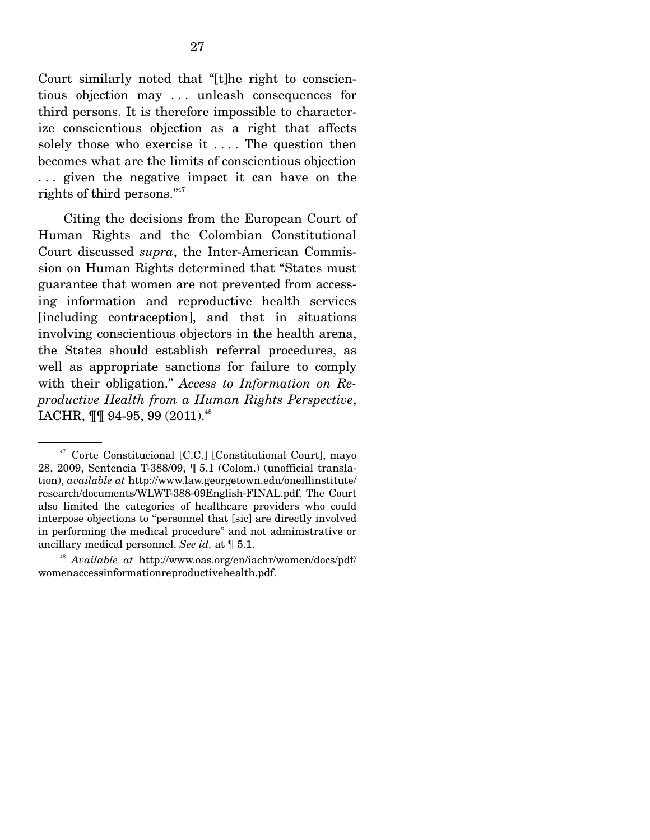Court similarly noted that "[t]he right to conscientious objection may . . . unleash consequences for third persons. It is therefore impossible to characterize conscientious objection as a right that affects solely those who exercise it .... The question then becomes what are the limits of conscientious objection . . . given the negative impact it can have on the rights of third persons."<sup>47</sup>

 Citing the decisions from the European Court of Human Rights and the Colombian Constitutional Court discussed *supra*, the Inter-American Commission on Human Rights determined that "States must guarantee that women are not prevented from accessing information and reproductive health services [including contraception], and that in situations involving conscientious objectors in the health arena, the States should establish referral procedures, as well as appropriate sanctions for failure to comply with their obligation." *Access to Information on Reproductive Health from a Human Rights Perspective*, IACHR,  $\P\P$  94-95, 99 (2011).<sup>48</sup>

<sup>47</sup> Corte Constitucional [C.C.] [Constitutional Court], mayo 28, 2009, Sentencia T-388/09, ¶ 5.1 (Colom.) (unofficial translation), *available at* http://www.law.georgetown.edu/oneillinstitute/ research/documents/WLWT-388-09English-FINAL.pdf. The Court also limited the categories of healthcare providers who could interpose objections to "personnel that [sic] are directly involved in performing the medical procedure" and not administrative or ancillary medical personnel. *See id.* at ¶ 5.1.

<sup>48</sup> *Available at* http://www.oas.org/en/iachr/women/docs/pdf/ womenaccessinformationreproductivehealth.pdf.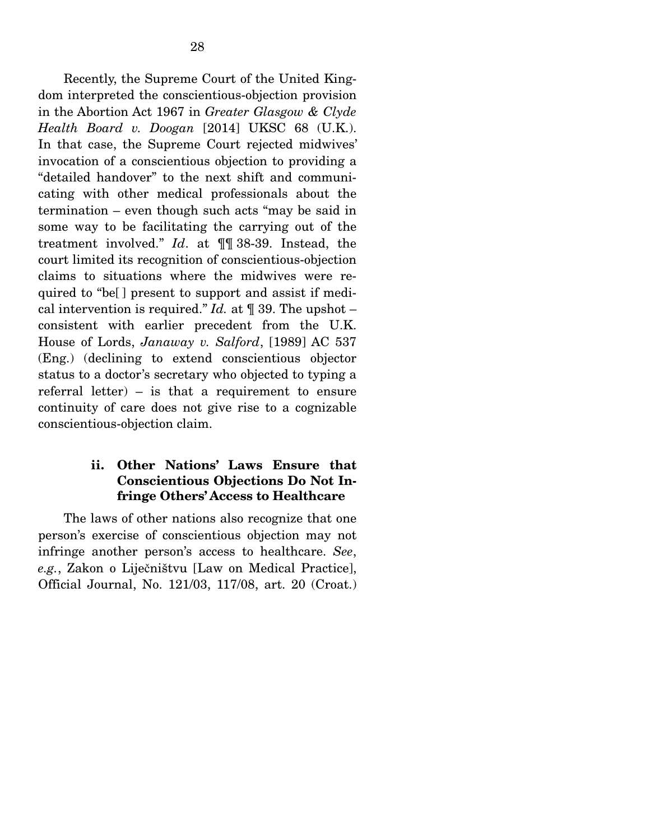Recently, the Supreme Court of the United Kingdom interpreted the conscientious-objection provision in the Abortion Act 1967 in *Greater Glasgow & Clyde Health Board v. Doogan* [2014] UKSC 68 (U.K.). In that case, the Supreme Court rejected midwives' invocation of a conscientious objection to providing a "detailed handover" to the next shift and communicating with other medical professionals about the termination – even though such acts "may be said in some way to be facilitating the carrying out of the treatment involved." *Id*. at ¶¶ 38-39. Instead, the court limited its recognition of conscientious-objection claims to situations where the midwives were required to "be[ ] present to support and assist if medical intervention is required." *Id.* at  $\P$  39. The upshot – consistent with earlier precedent from the U.K. House of Lords, *Janaway v. Salford*, [1989] AC 537 (Eng.) (declining to extend conscientious objector status to a doctor's secretary who objected to typing a referral letter) – is that a requirement to ensure continuity of care does not give rise to a cognizable conscientious-objection claim.

#### **ii. Other Nations' Laws Ensure that Conscientious Objections Do Not Infringe Others' Access to Healthcare**

 The laws of other nations also recognize that one person's exercise of conscientious objection may not infringe another person's access to healthcare. *See*, *e.g.*, Zakon o Liječništvu [Law on Medical Practice], Official Journal, No. 121/03, 117/08, art. 20 (Croat.)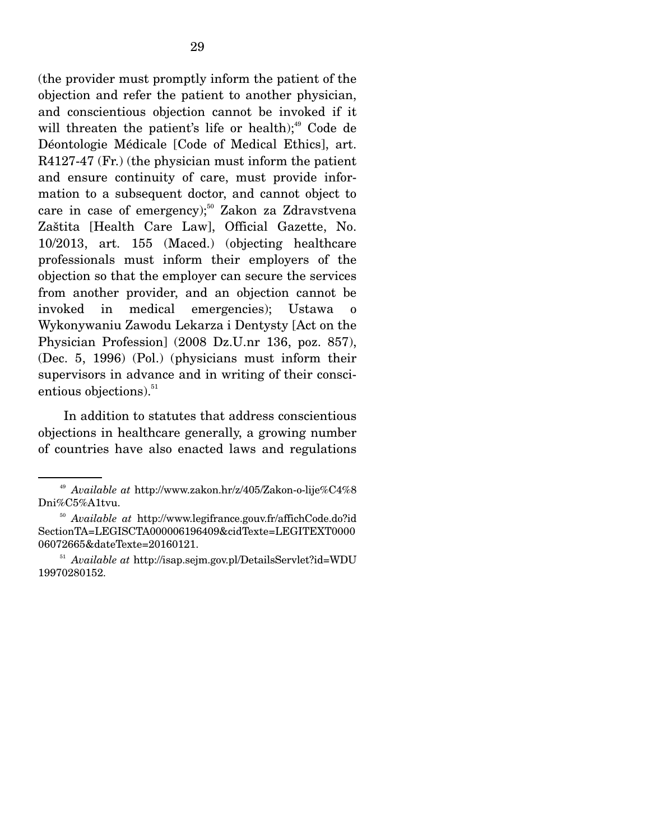(the provider must promptly inform the patient of the objection and refer the patient to another physician, and conscientious objection cannot be invoked if it will threaten the patient's life or health); $49$  Code de Déontologie Médicale [Code of Medical Ethics], art. R4127-47 (Fr.) (the physician must inform the patient and ensure continuity of care, must provide information to a subsequent doctor, and cannot object to care in case of emergency);<sup>50</sup> Zakon za Zdravstvena Zaštita [Health Care Law], Official Gazette, No. 10/2013, art. 155 (Maced.) (objecting healthcare professionals must inform their employers of the objection so that the employer can secure the services from another provider, and an objection cannot be invoked in medical emergencies); Ustawa o Wykonywaniu Zawodu Lekarza i Dentysty [Act on the Physician Profession] (2008 Dz.U.nr 136, poz. 857), (Dec. 5, 1996) (Pol.) (physicians must inform their supervisors in advance and in writing of their conscientious objections).<sup>51</sup>

 In addition to statutes that address conscientious objections in healthcare generally, a growing number of countries have also enacted laws and regulations

<sup>49</sup> *Available at* http://www.zakon.hr/z/405/Zakon-o-lije%C4%8 Dni%C5%A1tvu.

<sup>50</sup> *Available at* http://www.legifrance.gouv.fr/affichCode.do?id SectionTA=LEGISCTA000006196409&cidTexte=LEGITEXT0000 06072665&dateTexte=20160121.

<sup>51</sup> *Available at* http://isap.sejm.gov.pl/DetailsServlet?id=WDU 19970280152.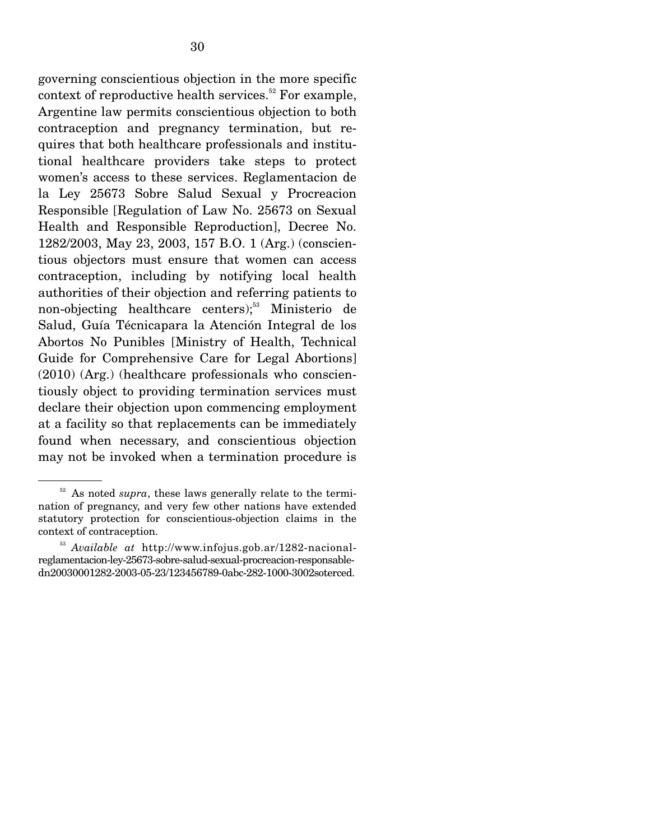governing conscientious objection in the more specific context of reproductive health services.<sup>52</sup> For example, Argentine law permits conscientious objection to both contraception and pregnancy termination, but requires that both healthcare professionals and institutional healthcare providers take steps to protect women's access to these services. Reglamentacion de la Ley 25673 Sobre Salud Sexual y Procreacion Responsible [Regulation of Law No. 25673 on Sexual Health and Responsible Reproduction], Decree No. 1282/2003, May 23, 2003, 157 B.O. 1 (Arg.) (conscientious objectors must ensure that women can access contraception, including by notifying local health authorities of their objection and referring patients to non-objecting healthcare centers); $53$  Ministerio de Salud, Guía Técnicapara la Atención Integral de los Abortos No Punibles [Ministry of Health, Technical Guide for Comprehensive Care for Legal Abortions] (2010) (Arg.) (healthcare professionals who conscientiously object to providing termination services must declare their objection upon commencing employment at a facility so that replacements can be immediately found when necessary, and conscientious objection may not be invoked when a termination procedure is

 $52$  As noted *supra*, these laws generally relate to the termination of pregnancy, and very few other nations have extended statutory protection for conscientious-objection claims in the context of contraception.

<sup>53</sup> *Available at* http://www.infojus.gob.ar/1282-nacionalreglamentacion-ley-25673-sobre-salud-sexual-procreacion-responsabledn20030001282-2003-05-23/123456789-0abc-282-1000-3002soterced.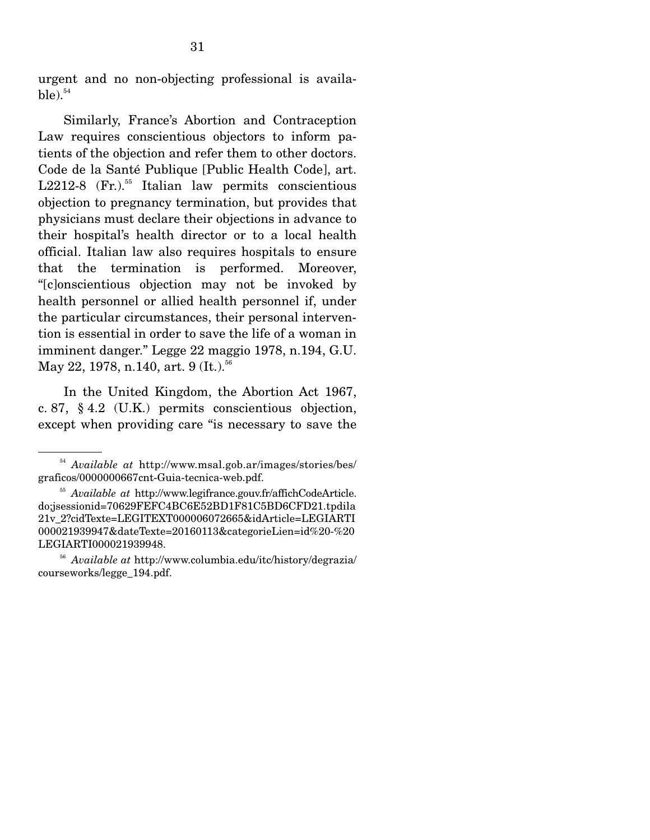urgent and no non-objecting professional is availa $ble).$ <sup>54</sup>

 Similarly, France's Abortion and Contraception Law requires conscientious objectors to inform patients of the objection and refer them to other doctors. Code de la Santé Publique [Public Health Code], art. L2212-8  $(Fr.)$ <sup>55</sup> Italian law permits conscientious objection to pregnancy termination, but provides that physicians must declare their objections in advance to their hospital's health director or to a local health official. Italian law also requires hospitals to ensure that the termination is performed. Moreover, "[c]onscientious objection may not be invoked by health personnel or allied health personnel if, under the particular circumstances, their personal intervention is essential in order to save the life of a woman in imminent danger." Legge 22 maggio 1978, n.194, G.U. May 22, 1978, n.140, art. 9 (It.).<sup>56</sup>

 In the United Kingdom, the Abortion Act 1967, c. 87, § 4.2 (U.K.) permits conscientious objection, except when providing care "is necessary to save the

<sup>54</sup> *Available at* http://www.msal.gob.ar/images/stories/bes/ graficos/0000000667cnt-Guia-tecnica-web.pdf.

<sup>55</sup> *Available at* http://www.legifrance.gouv.fr/affichCodeArticle. do;jsessionid=70629FEFC4BC6E52BD1F81C5BD6CFD21.tpdila 21v\_2?cidTexte=LEGITEXT000006072665&idArticle=LEGIARTI 000021939947&dateTexte=20160113&categorieLien=id%20-%20 LEGIARTI000021939948.

<sup>56</sup> *Available at* http://www.columbia.edu/itc/history/degrazia/ courseworks/legge\_194.pdf.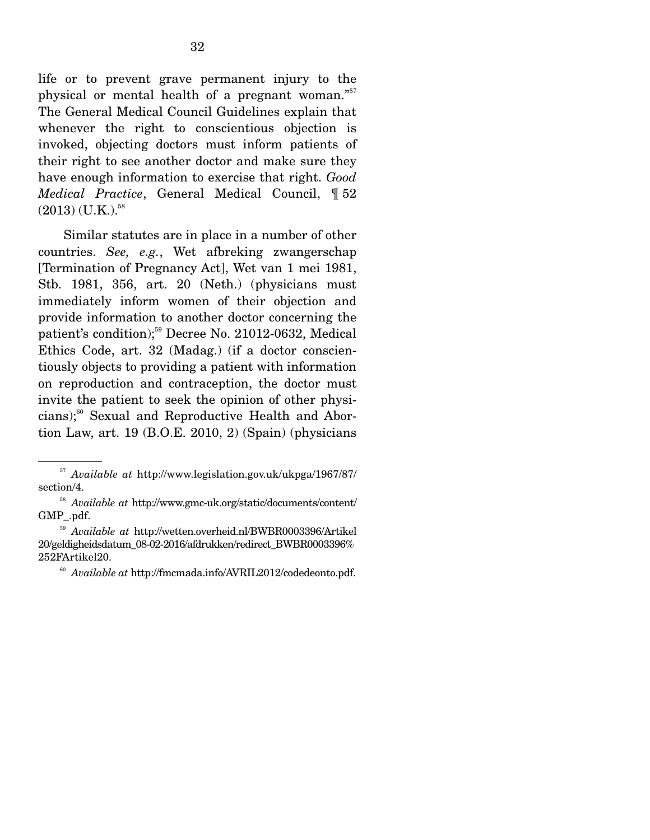life or to prevent grave permanent injury to the physical or mental health of a pregnant woman."<sup>57</sup> The General Medical Council Guidelines explain that whenever the right to conscientious objection is invoked, objecting doctors must inform patients of their right to see another doctor and make sure they have enough information to exercise that right. *Good Medical Practice*, General Medical Council, ¶ 52  $(2013)$  (U.K.).<sup>58</sup>

 Similar statutes are in place in a number of other countries. *See, e.g.*, Wet afbreking zwangerschap [Termination of Pregnancy Act], Wet van 1 mei 1981, Stb. 1981, 356, art. 20 (Neth.) (physicians must immediately inform women of their objection and provide information to another doctor concerning the patient's condition);<sup>59</sup> Decree No. 21012-0632, Medical Ethics Code, art. 32 (Madag.) (if a doctor conscientiously objects to providing a patient with information on reproduction and contraception, the doctor must invite the patient to seek the opinion of other physicians);<sup>60</sup> Sexual and Reproductive Health and Abortion Law, art. 19 (B.O.E. 2010, 2) (Spain) (physicians

<sup>57</sup> *Available at* http://www.legislation.gov.uk/ukpga/1967/87/ section/4.

<sup>58</sup> *Available at* http://www.gmc-uk.org/static/documents/content/ GMP\_.pdf. 59 *Available at* http://wetten.overheid.nl/BWBR0003396/Artikel

<sup>20/</sup>geldigheidsdatum\_08-02-2016/afdrukken/redirect\_BWBR0003396% 252FArtikel20.

<sup>60</sup> *Available at* http://fmcmada.info/AVRIL2012/codedeonto.pdf.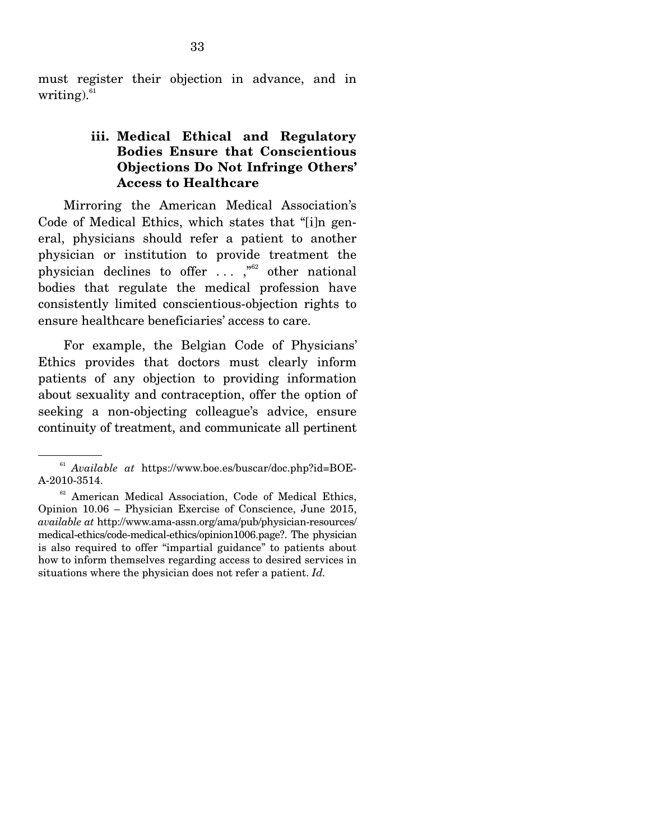must register their objection in advance, and in writing). $61$ 

### **iii. Medical Ethical and Regulatory Bodies Ensure that Conscientious Objections Do Not Infringe Others' Access to Healthcare**

 Mirroring the American Medical Association's Code of Medical Ethics, which states that "[i]n general, physicians should refer a patient to another physician or institution to provide treatment the physician declines to offer  $\ldots$ ,  $\frac{1}{100}$  other national bodies that regulate the medical profession have consistently limited conscientious-objection rights to ensure healthcare beneficiaries' access to care.

 For example, the Belgian Code of Physicians' Ethics provides that doctors must clearly inform patients of any objection to providing information about sexuality and contraception, offer the option of seeking a non-objecting colleague's advice, ensure continuity of treatment, and communicate all pertinent

<sup>61</sup> *Available at* https://www.boe.es/buscar/doc.php?id=BOE-A-2010-3514.

<sup>&</sup>lt;sup>62</sup> American Medical Association, Code of Medical Ethics, Opinion 10.06 – Physician Exercise of Conscience, June 2015, *available at* http://www.ama-assn.org/ama/pub/physician-resources/ medical-ethics/code-medical-ethics/opinion1006.page?. The physician is also required to offer "impartial guidance" to patients about how to inform themselves regarding access to desired services in situations where the physician does not refer a patient. *Id.*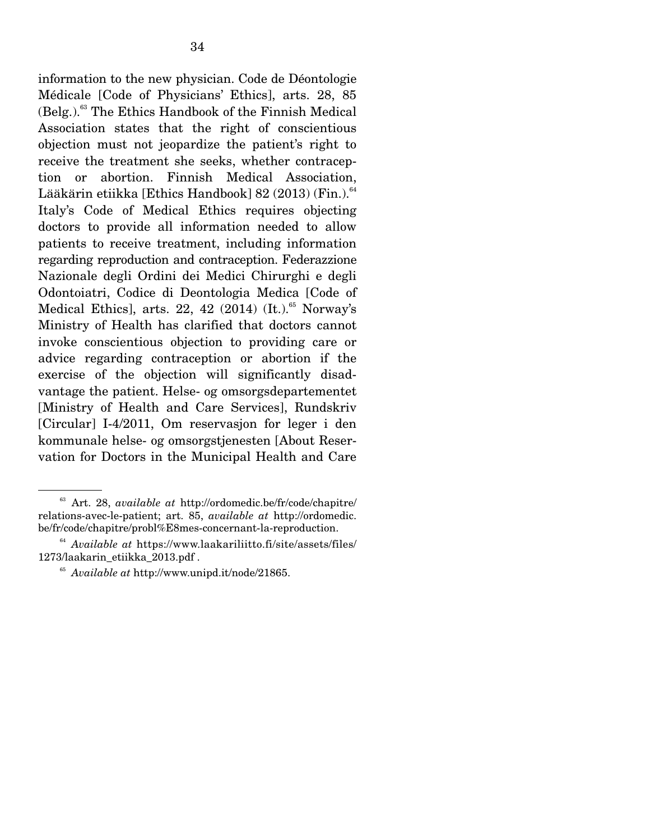information to the new physician. Code de Déontologie Médicale [Code of Physicians' Ethics], arts. 28, 85  $(Belg.)<sup>63</sup>$  The Ethics Handbook of the Finnish Medical Association states that the right of conscientious objection must not jeopardize the patient's right to receive the treatment she seeks, whether contraception or abortion. Finnish Medical Association, Lääkärin etiikka [Ethics Handbook] 82 (2013) (Fin.).<sup>64</sup> Italy's Code of Medical Ethics requires objecting doctors to provide all information needed to allow patients to receive treatment, including information regarding reproduction and contraception. Federazzione Nazionale degli Ordini dei Medici Chirurghi e degli Odontoiatri, Codice di Deontologia Medica [Code of Medical Ethics], arts. 22, 42 (2014)  $\left($ It. $\right)$ .<sup>65</sup> Norway's Ministry of Health has clarified that doctors cannot invoke conscientious objection to providing care or advice regarding contraception or abortion if the exercise of the objection will significantly disadvantage the patient. Helse- og omsorgsdepartementet [Ministry of Health and Care Services], Rundskriv [Circular] I-4/2011, Om reservasjon for leger i den kommunale helse- og omsorgstjenesten [About Reservation for Doctors in the Municipal Health and Care

<sup>63</sup> Art. 28, *available at* http://ordomedic.be/fr/code/chapitre/ relations-avec-le-patient; art. 85, *available at* http://ordomedic. be/fr/code/chapitre/probl%E8mes-concernant-la-reproduction.

<sup>64</sup> *Available at* https://www.laakariliitto.fi/site/assets/files/ 1273/laakarin\_etiikka\_2013.pdf .

<sup>65</sup> *Available at* http://www.unipd.it/node/21865.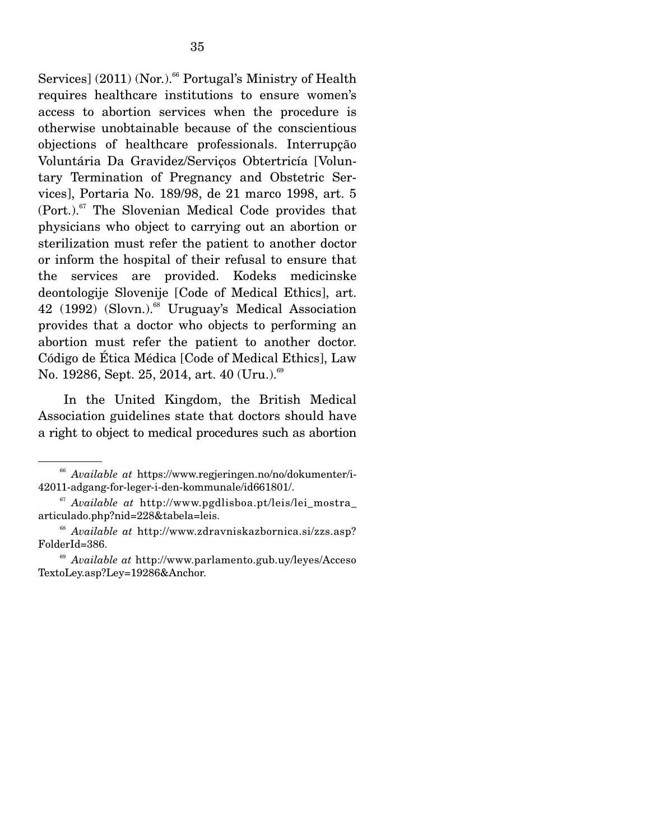Services]  $(2011)$  (Nor.).<sup>66</sup> Portugal's Ministry of Health requires healthcare institutions to ensure women's access to abortion services when the procedure is otherwise unobtainable because of the conscientious objections of healthcare professionals. Interrupção Voluntária Da Gravidez/Serviços Obtertricía [Voluntary Termination of Pregnancy and Obstetric Services], Portaria No. 189/98, de 21 marco 1998, art. 5  $(Port.)$ <sup>67</sup> The Slovenian Medical Code provides that physicians who object to carrying out an abortion or sterilization must refer the patient to another doctor or inform the hospital of their refusal to ensure that the services are provided. Kodeks medicinske deontologije Slovenije [Code of Medical Ethics], art.  $42$  (1992) (Slovn.).<sup>68</sup> Uruguay's Medical Association provides that a doctor who objects to performing an abortion must refer the patient to another doctor. Código de Ética Médica [Code of Medical Ethics], Law No. 19286, Sept. 25, 2014, art. 40 (Uru.). $69$ 

 In the United Kingdom, the British Medical Association guidelines state that doctors should have a right to object to medical procedures such as abortion

<sup>66</sup> *Available at* https://www.regjeringen.no/no/dokumenter/i-42011-adgang-for-leger-i-den-kommunale/id661801/.

<sup>67</sup> *Available at* http://www.pgdlisboa.pt/leis/lei\_mostra\_ articulado.php?nid=228&tabela=leis. 68 *Available at* http://www.zdravniskazbornica.si/zzs.asp?

FolderId=386.

<sup>69</sup> *Available at* http://www.parlamento.gub.uy/leyes/Acceso TextoLey.asp?Ley=19286&Anchor.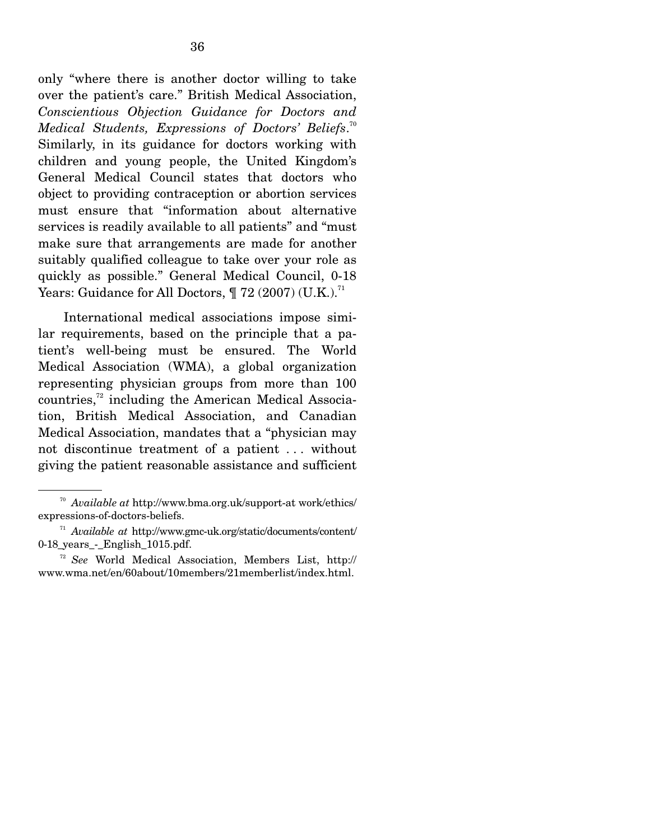only "where there is another doctor willing to take over the patient's care." British Medical Association, *Conscientious Objection Guidance for Doctors and Medical Students, Expressions of Doctors' Beliefs*. 70 Similarly, in its guidance for doctors working with children and young people, the United Kingdom's General Medical Council states that doctors who object to providing contraception or abortion services must ensure that "information about alternative services is readily available to all patients" and "must make sure that arrangements are made for another suitably qualified colleague to take over your role as quickly as possible." General Medical Council, 0-18 Years: Guidance for All Doctors,  $\P$  72 (2007) (U.K.).<sup>71</sup>

 International medical associations impose similar requirements, based on the principle that a patient's well-being must be ensured. The World Medical Association (WMA), a global organization representing physician groups from more than 100  $countries<sub>1</sub><sup>72</sup> including the American Medical Association$ tion, British Medical Association, and Canadian Medical Association, mandates that a "physician may not discontinue treatment of a patient . . . without giving the patient reasonable assistance and sufficient

<sup>70</sup> *Available at* http://www.bma.org.uk/support-at work/ethics/ expressions-of-doctors-beliefs. 71 *Available at* http://www.gmc-uk.org/static/documents/content/

<sup>0-18</sup> years - English 1015.pdf.

<sup>72</sup> *See* World Medical Association, Members List, http:// www.wma.net/en/60about/10members/21memberlist/index.html.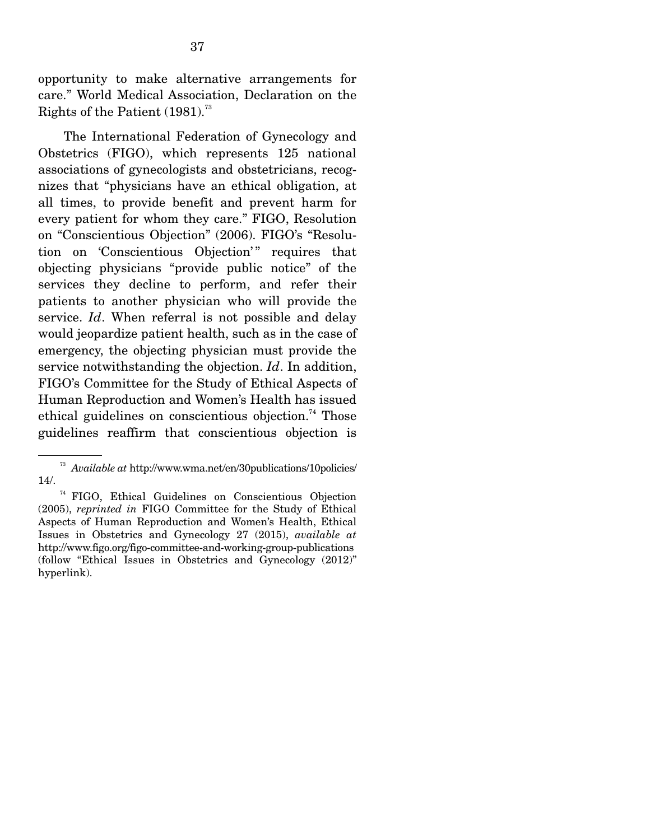opportunity to make alternative arrangements for care." World Medical Association, Declaration on the Rights of the Patient  $(1981)^{73}$ 

 The International Federation of Gynecology and Obstetrics (FIGO), which represents 125 national associations of gynecologists and obstetricians, recognizes that "physicians have an ethical obligation, at all times, to provide benefit and prevent harm for every patient for whom they care." FIGO, Resolution on "Conscientious Objection" (2006). FIGO's "Resolution on 'Conscientious Objection'" requires that objecting physicians "provide public notice" of the services they decline to perform, and refer their patients to another physician who will provide the service. *Id*. When referral is not possible and delay would jeopardize patient health, such as in the case of emergency, the objecting physician must provide the service notwithstanding the objection. *Id*. In addition, FIGO's Committee for the Study of Ethical Aspects of Human Reproduction and Women's Health has issued ethical guidelines on conscientious objection.<sup>74</sup> Those guidelines reaffirm that conscientious objection is

<sup>73</sup> *Available at* http://www.wma.net/en/30publications/10policies/ 14/.

<sup>74</sup> FIGO, Ethical Guidelines on Conscientious Objection (2005), *reprinted in* FIGO Committee for the Study of Ethical Aspects of Human Reproduction and Women's Health, Ethical Issues in Obstetrics and Gynecology 27 (2015), *available at* http://www.figo.org/figo-committee-and-working-group-publications (follow "Ethical Issues in Obstetrics and Gynecology (2012)" hyperlink).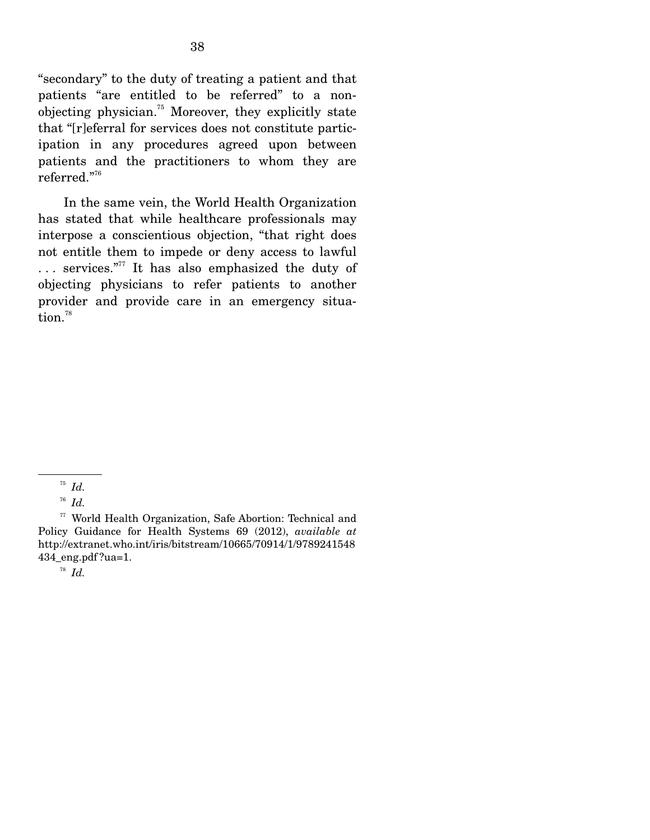"secondary" to the duty of treating a patient and that patients "are entitled to be referred" to a nonobjecting physician.75 Moreover, they explicitly state that "[r]eferral for services does not constitute participation in any procedures agreed upon between patients and the practitioners to whom they are referred."76

 In the same vein, the World Health Organization has stated that while healthcare professionals may interpose a conscientious objection, "that right does not entitle them to impede or deny access to lawful . . . services."77 It has also emphasized the duty of objecting physicians to refer patients to another provider and provide care in an emergency situation.<sup>78</sup>

77 World Health Organization, Safe Abortion: Technical and Policy Guidance for Health Systems 69 (2012), *available at*  http://extranet.who.int/iris/bitstream/10665/70914/1/9789241548 434\_eng.pdf ?ua=1.

<sup>78</sup> *Id.*

<sup>75</sup> *Id.*

<sup>76</sup> *Id.*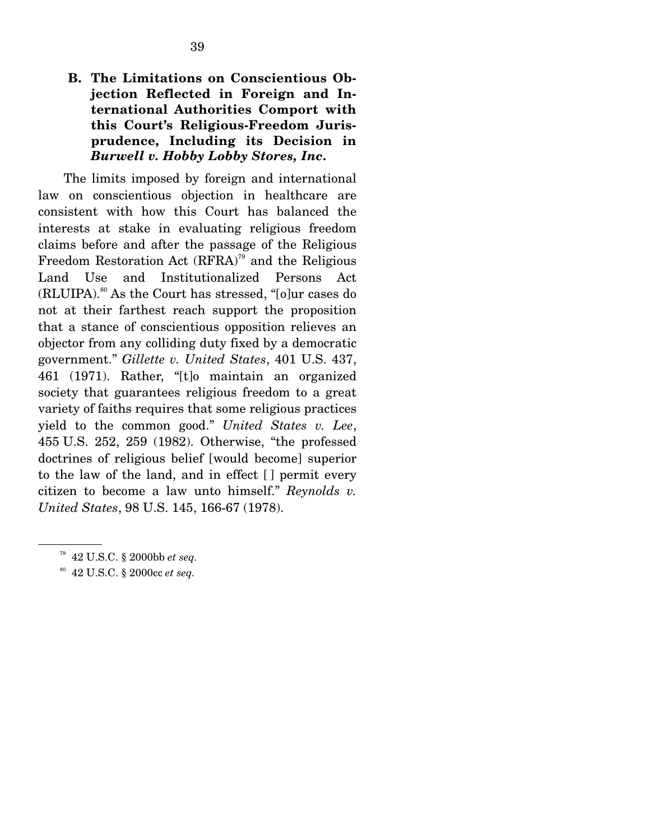### **B. The Limitations on Conscientious Objection Reflected in Foreign and International Authorities Comport with this Court's Religious-Freedom Jurisprudence, Including its Decision in**  *Burwell v. Hobby Lobby Stores, Inc.*

The limits imposed by foreign and international law on conscientious objection in healthcare are consistent with how this Court has balanced the interests at stake in evaluating religious freedom claims before and after the passage of the Religious Freedom Restoration Act  $(RFRA)^{79}$  and the Religious Land Use and Institutionalized Persons Act  $(RLUIPA).<sup>80</sup>$  As the Court has stressed, "[o]ur cases do not at their farthest reach support the proposition that a stance of conscientious opposition relieves an objector from any colliding duty fixed by a democratic government." *Gillette v. United States*, 401 U.S. 437, 461 (1971). Rather, "[t]o maintain an organized society that guarantees religious freedom to a great variety of faiths requires that some religious practices yield to the common good." *United States v. Lee*, 455 U.S. 252, 259 (1982). Otherwise, "the professed doctrines of religious belief [would become] superior to the law of the land, and in effect [ ] permit every citizen to become a law unto himself." *Reynolds v. United States*, 98 U.S. 145, 166-67 (1978).

80 42 U.S.C. § 2000cc *et seq.*

<sup>79 42</sup> U.S.C. § 2000bb *et seq.*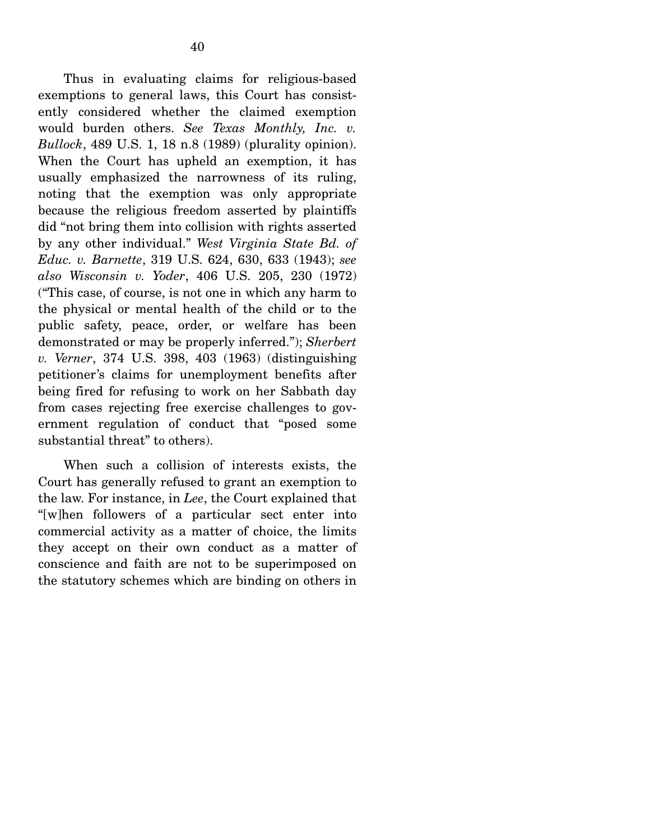Thus in evaluating claims for religious-based exemptions to general laws, this Court has consistently considered whether the claimed exemption would burden others. *See Texas Monthly, Inc. v. Bullock*, 489 U.S. 1, 18 n.8 (1989) (plurality opinion). When the Court has upheld an exemption, it has usually emphasized the narrowness of its ruling, noting that the exemption was only appropriate because the religious freedom asserted by plaintiffs did "not bring them into collision with rights asserted by any other individual." *West Virginia State Bd. of Educ. v. Barnette*, 319 U.S. 624, 630, 633 (1943); *see also Wisconsin v. Yoder*, 406 U.S. 205, 230 (1972) ("This case, of course, is not one in which any harm to the physical or mental health of the child or to the public safety, peace, order, or welfare has been demonstrated or may be properly inferred."); *Sherbert v. Verner*, 374 U.S. 398, 403 (1963) (distinguishing petitioner's claims for unemployment benefits after being fired for refusing to work on her Sabbath day from cases rejecting free exercise challenges to government regulation of conduct that "posed some substantial threat" to others).

 When such a collision of interests exists, the Court has generally refused to grant an exemption to the law. For instance, in *Lee*, the Court explained that "[w]hen followers of a particular sect enter into commercial activity as a matter of choice, the limits they accept on their own conduct as a matter of conscience and faith are not to be superimposed on the statutory schemes which are binding on others in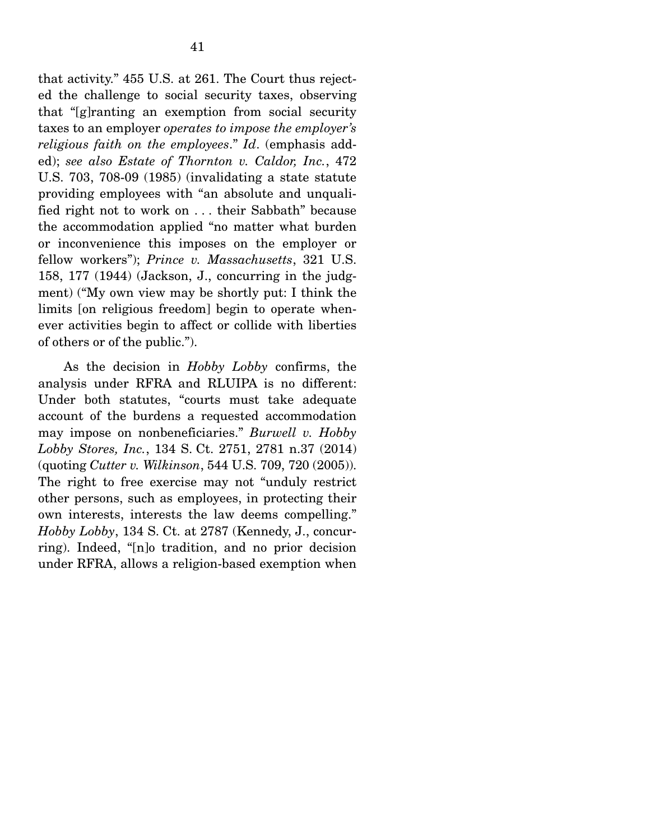that activity." 455 U.S. at 261. The Court thus rejected the challenge to social security taxes, observing that "[g]ranting an exemption from social security taxes to an employer *operates to impose the employer's religious faith on the employees*." *Id*. (emphasis added); *see also Estate of Thornton v. Caldor, Inc.*, 472 U.S. 703, 708-09 (1985) (invalidating a state statute providing employees with "an absolute and unqualified right not to work on . . . their Sabbath" because the accommodation applied "no matter what burden or inconvenience this imposes on the employer or fellow workers"); *Prince v. Massachusetts*, 321 U.S. 158, 177 (1944) (Jackson, J., concurring in the judgment) ("My own view may be shortly put: I think the limits [on religious freedom] begin to operate whenever activities begin to affect or collide with liberties of others or of the public.").

 As the decision in *Hobby Lobby* confirms, the analysis under RFRA and RLUIPA is no different: Under both statutes, "courts must take adequate account of the burdens a requested accommodation may impose on nonbeneficiaries." *Burwell v. Hobby Lobby Stores, Inc.*, 134 S. Ct. 2751, 2781 n.37 (2014) (quoting *Cutter v. Wilkinson*, 544 U.S. 709, 720 (2005)). The right to free exercise may not "unduly restrict other persons, such as employees, in protecting their own interests, interests the law deems compelling." *Hobby Lobby*, 134 S. Ct. at 2787 (Kennedy, J., concurring). Indeed, "[n]o tradition, and no prior decision under RFRA, allows a religion-based exemption when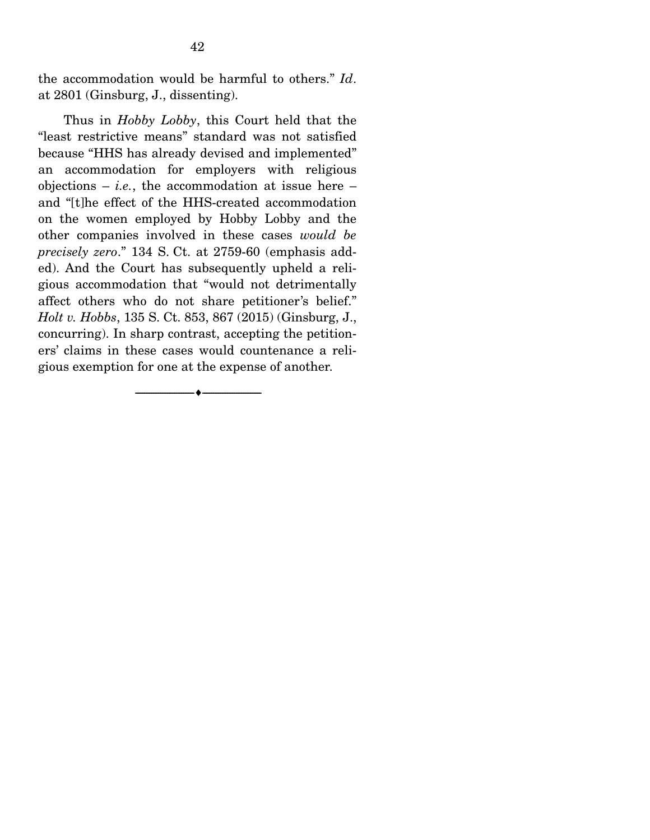the accommodation would be harmful to others." *Id*. at 2801 (Ginsburg, J., dissenting).

 Thus in *Hobby Lobby*, this Court held that the "least restrictive means" standard was not satisfied because "HHS has already devised and implemented" an accommodation for employers with religious objections  $-$  *i.e.*, the accommodation at issue here  $$ and "[t]he effect of the HHS-created accommodation on the women employed by Hobby Lobby and the other companies involved in these cases *would be precisely zero*." 134 S. Ct. at 2759-60 (emphasis added). And the Court has subsequently upheld a religious accommodation that "would not detrimentally affect others who do not share petitioner's belief." *Holt v. Hobbs*, 135 S. Ct. 853, 867 (2015) (Ginsburg, J., concurring). In sharp contrast, accepting the petitioners' claims in these cases would countenance a religious exemption for one at the expense of another.

--------------------------------- ---------------------------------